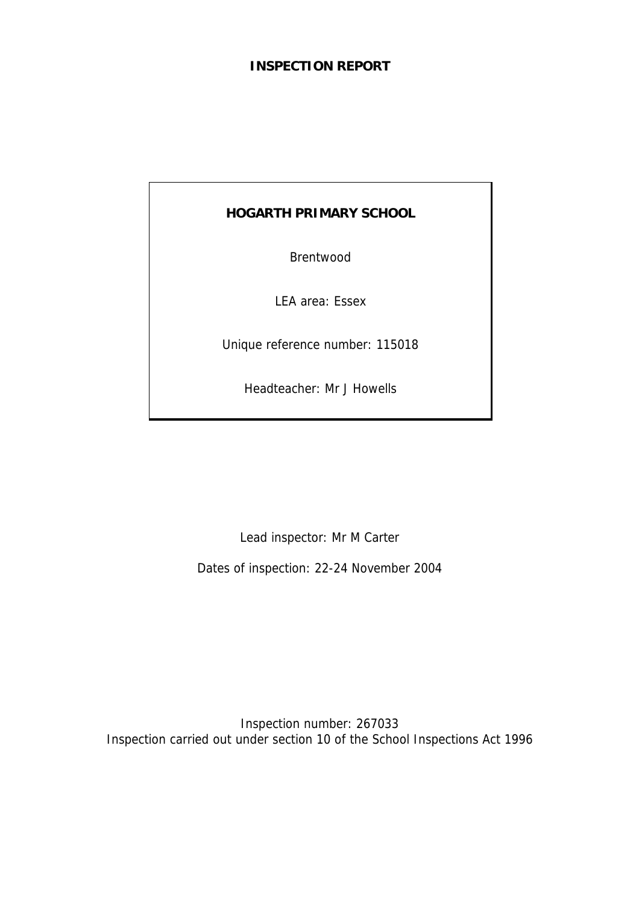# **INSPECTION REPORT**

# **HOGARTH PRIMARY SCHOOL**

Brentwood

LEA area: Essex

Unique reference number: 115018

Headteacher: Mr J Howells

Lead inspector: Mr M Carter

Dates of inspection: 22-24 November 2004

Inspection number: 267033 Inspection carried out under section 10 of the School Inspections Act 1996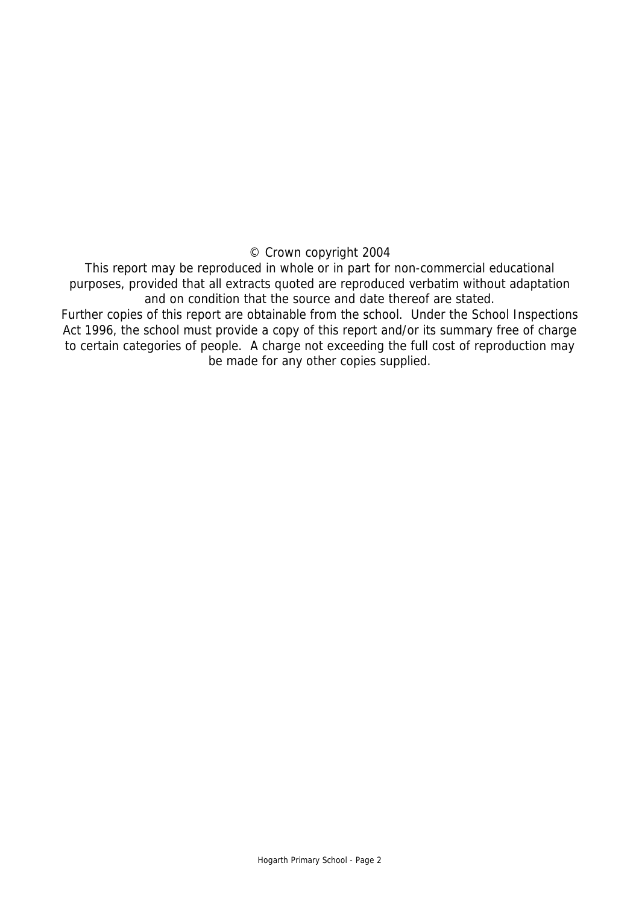## © Crown copyright 2004

This report may be reproduced in whole or in part for non-commercial educational purposes, provided that all extracts quoted are reproduced verbatim without adaptation and on condition that the source and date thereof are stated.

Further copies of this report are obtainable from the school. Under the School Inspections Act 1996, the school must provide a copy of this report and/or its summary free of charge to certain categories of people. A charge not exceeding the full cost of reproduction may be made for any other copies supplied.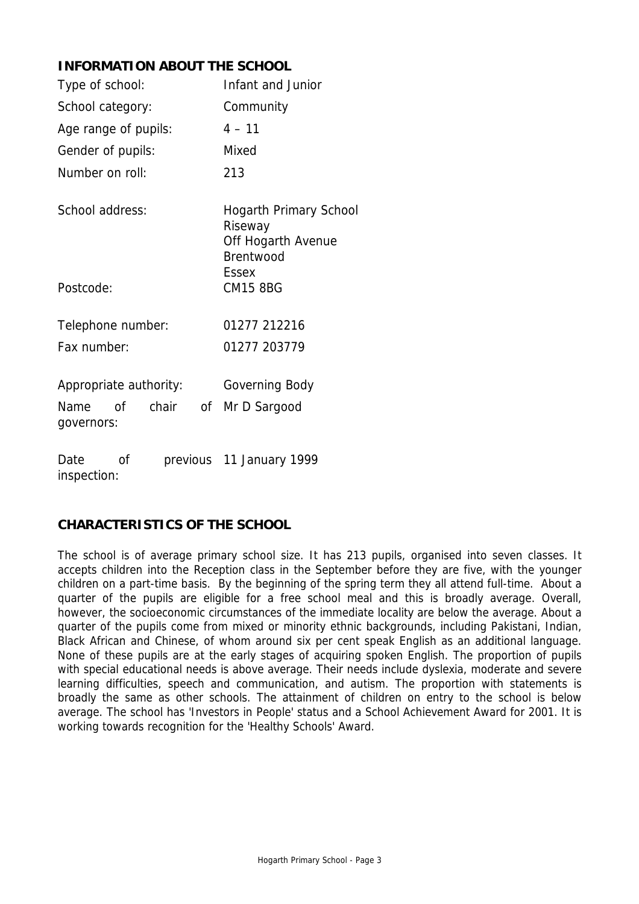# **INFORMATION ABOUT THE SCHOOL**

| Type of school:                         | Infant and Junior                                                                           |  |
|-----------------------------------------|---------------------------------------------------------------------------------------------|--|
| School category:                        | Community                                                                                   |  |
| Age range of pupils:                    | $4 - 11$                                                                                    |  |
| Gender of pupils:                       | Mixed                                                                                       |  |
| Number on roll:                         | 213                                                                                         |  |
| School address:                         | <b>Hogarth Primary School</b><br>Riseway<br>Off Hogarth Avenue<br>Brentwood<br><b>Essex</b> |  |
| Postcode:                               | <b>CM15 8BG</b>                                                                             |  |
| Telephone number:                       | 01277 212216                                                                                |  |
| Fax number:                             | 01277 203779                                                                                |  |
| Appropriate authority:                  | Governing Body                                                                              |  |
| chair<br>Name<br>Οf<br>0f<br>governors: | Mr D Sargood                                                                                |  |
| Ωf<br>Date<br>inspection:               | previous 11 January 1999                                                                    |  |

# **CHARACTERISTICS OF THE SCHOOL**

The school is of average primary school size. It has 213 pupils, organised into seven classes. It accepts children into the Reception class in the September before they are five, with the younger children on a part-time basis. By the beginning of the spring term they all attend full-time. About a quarter of the pupils are eligible for a free school meal and this is broadly average. Overall, however, the socioeconomic circumstances of the immediate locality are below the average. About a quarter of the pupils come from mixed or minority ethnic backgrounds, including Pakistani, Indian, Black African and Chinese, of whom around six per cent speak English as an additional language. None of these pupils are at the early stages of acquiring spoken English. The proportion of pupils with special educational needs is above average. Their needs include dyslexia, moderate and severe learning difficulties, speech and communication, and autism. The proportion with statements is broadly the same as other schools. The attainment of children on entry to the school is below average. The school has 'Investors in People' status and a School Achievement Award for 2001. It is working towards recognition for the 'Healthy Schools' Award.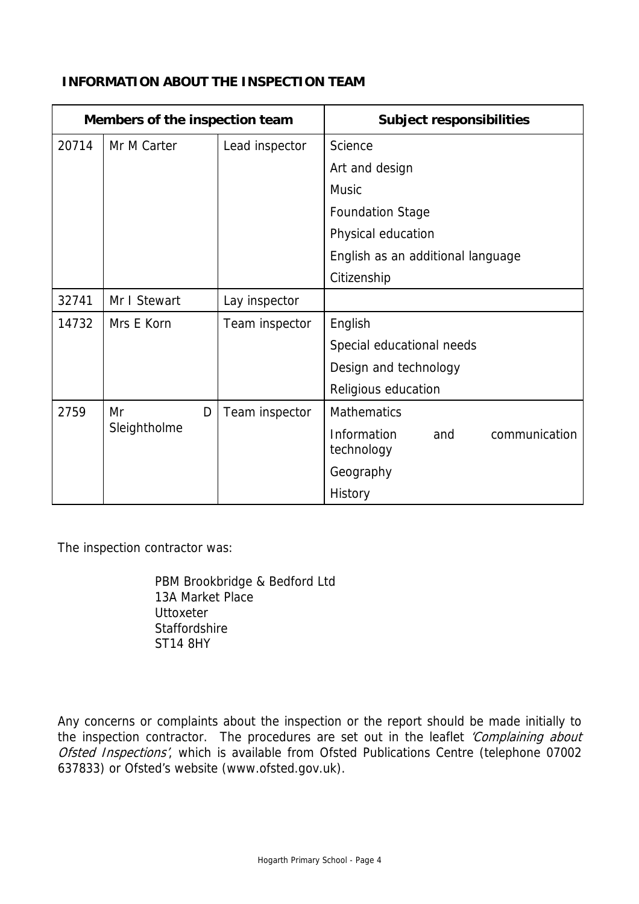| Members of the inspection team |              |                | <b>Subject responsibilities</b>                   |
|--------------------------------|--------------|----------------|---------------------------------------------------|
| 20714                          | Mr M Carter  | Lead inspector | Science                                           |
|                                |              |                | Art and design                                    |
|                                |              |                | <b>Music</b>                                      |
|                                |              |                | <b>Foundation Stage</b>                           |
|                                |              |                | Physical education                                |
|                                |              |                | English as an additional language                 |
|                                |              |                | Citizenship                                       |
| 32741                          | Mr I Stewart | Lay inspector  |                                                   |
| 14732                          | Mrs E Korn   | Team inspector | English                                           |
|                                |              |                | Special educational needs                         |
|                                |              |                | Design and technology                             |
|                                |              |                | Religious education                               |
| 2759                           | Mr<br>D      | Team inspector | <b>Mathematics</b>                                |
|                                | Sleightholme |                | Information<br>communication<br>and<br>technology |
|                                |              |                | Geography                                         |
|                                |              |                | History                                           |

# **INFORMATION ABOUT THE INSPECTION TEAM**

The inspection contractor was:

 PBM Brookbridge & Bedford Ltd 13A Market Place **Uttoxeter Staffordshire** ST14 8HY

Any concerns or complaints about the inspection or the report should be made initially to the inspection contractor. The procedures are set out in the leaflet 'Complaining about Ofsted Inspections', which is available from Ofsted Publications Centre (telephone 07002 637833) or Ofsted's website (www.ofsted.gov.uk).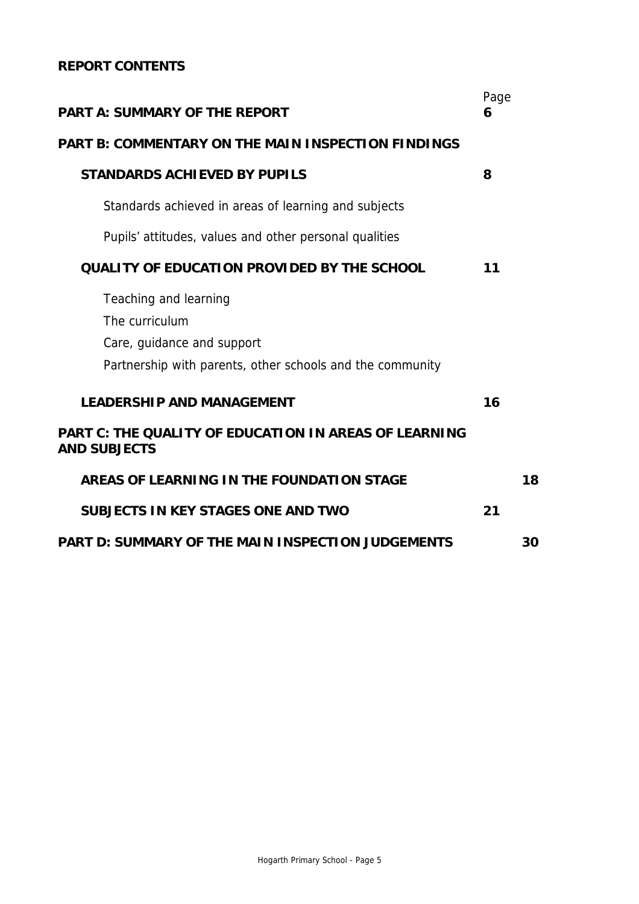# **REPORT CONTENTS**

| <b>PART A: SUMMARY OF THE REPORT</b>                                                                                               |    |    |  |  |
|------------------------------------------------------------------------------------------------------------------------------------|----|----|--|--|
| <b>PART B: COMMENTARY ON THE MAIN INSPECTION FINDINGS</b>                                                                          |    |    |  |  |
| <b>STANDARDS ACHIEVED BY PUPILS</b>                                                                                                | 8  |    |  |  |
| Standards achieved in areas of learning and subjects                                                                               |    |    |  |  |
| Pupils' attitudes, values and other personal qualities                                                                             |    |    |  |  |
| <b>QUALITY OF EDUCATION PROVIDED BY THE SCHOOL</b>                                                                                 | 11 |    |  |  |
| Teaching and learning<br>The curriculum<br>Care, guidance and support<br>Partnership with parents, other schools and the community |    |    |  |  |
| <b>LEADERSHIP AND MANAGEMENT</b>                                                                                                   | 16 |    |  |  |
| PART C: THE QUALITY OF EDUCATION IN AREAS OF LEARNING<br><b>AND SUBJECTS</b>                                                       |    |    |  |  |
| AREAS OF LEARNING IN THE FOUNDATION STAGE                                                                                          |    | 18 |  |  |
| <b>SUBJECTS IN KEY STAGES ONE AND TWO</b>                                                                                          | 21 |    |  |  |
| <b>PART D: SUMMARY OF THE MAIN INSPECTION JUDGEMENTS</b>                                                                           |    | 30 |  |  |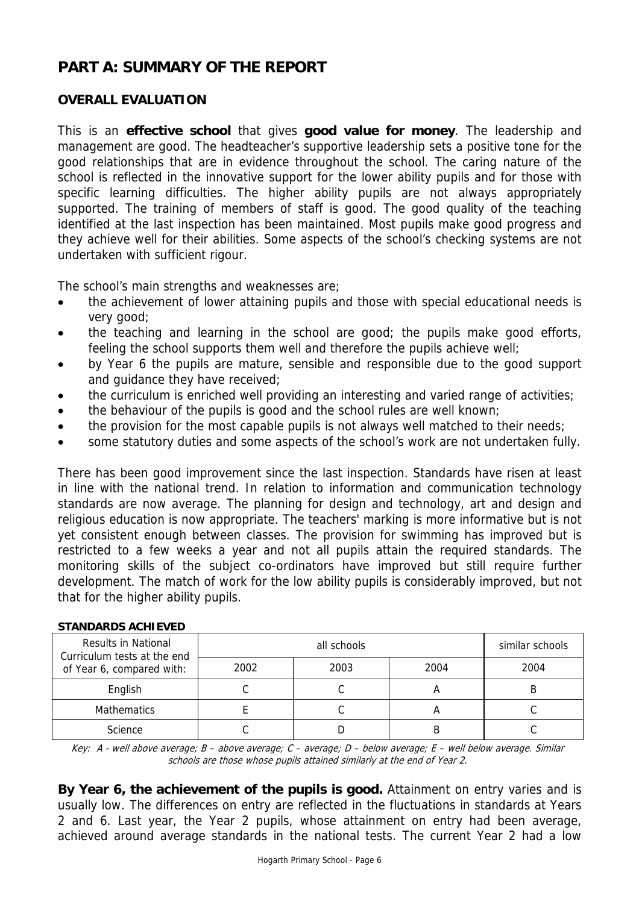# **PART A: SUMMARY OF THE REPORT**

# **OVERALL EVALUATION**

This is an **effective school** that gives **good value for money**. The leadership and management are good. The headteacher's supportive leadership sets a positive tone for the good relationships that are in evidence throughout the school. The caring nature of the school is reflected in the innovative support for the lower ability pupils and for those with specific learning difficulties. The higher ability pupils are not always appropriately supported. The training of members of staff is good. The good quality of the teaching identified at the last inspection has been maintained. Most pupils make good progress and they achieve well for their abilities. Some aspects of the school's checking systems are not undertaken with sufficient rigour.

The school's main strengths and weaknesses are;

- the achievement of lower attaining pupils and those with special educational needs is very good;
- the teaching and learning in the school are good; the pupils make good efforts, feeling the school supports them well and therefore the pupils achieve well;
- by Year 6 the pupils are mature, sensible and responsible due to the good support and guidance they have received;
- the curriculum is enriched well providing an interesting and varied range of activities;
- the behaviour of the pupils is good and the school rules are well known;
- the provision for the most capable pupils is not always well matched to their needs;
- some statutory duties and some aspects of the school's work are not undertaken fully.

There has been good improvement since the last inspection. Standards have risen at least in line with the national trend. In relation to information and communication technology standards are now average. The planning for design and technology, art and design and religious education is now appropriate. The teachers' marking is more informative but is not yet consistent enough between classes. The provision for swimming has improved but is restricted to a few weeks a year and not all pupils attain the required standards. The monitoring skills of the subject co-ordinators have improved but still require further development. The match of work for the low ability pupils is considerably improved, but not that for the higher ability pupils.

| <b>Results in National</b><br>Curriculum tests at the end<br>of Year 6, compared with: |      | similar schools |      |      |  |  |  |
|----------------------------------------------------------------------------------------|------|-----------------|------|------|--|--|--|
|                                                                                        | 2002 | 2003            | 2004 | 2004 |  |  |  |
| English                                                                                |      |                 | n    |      |  |  |  |
| Mathematics                                                                            |      |                 | n    |      |  |  |  |
| Science                                                                                |      |                 |      |      |  |  |  |

#### **STANDARDS ACHIEVED**

Key: A - well above average; B – above average; C – average; D – below average; E – well below average. Similar schools are those whose pupils attained similarly at the end of Year 2.

**By Year 6, the achievement of the pupils is good.** Attainment on entry varies and is usually low. The differences on entry are reflected in the fluctuations in standards at Years 2 and 6. Last year, the Year 2 pupils, whose attainment on entry had been average, achieved around average standards in the national tests. The current Year 2 had a low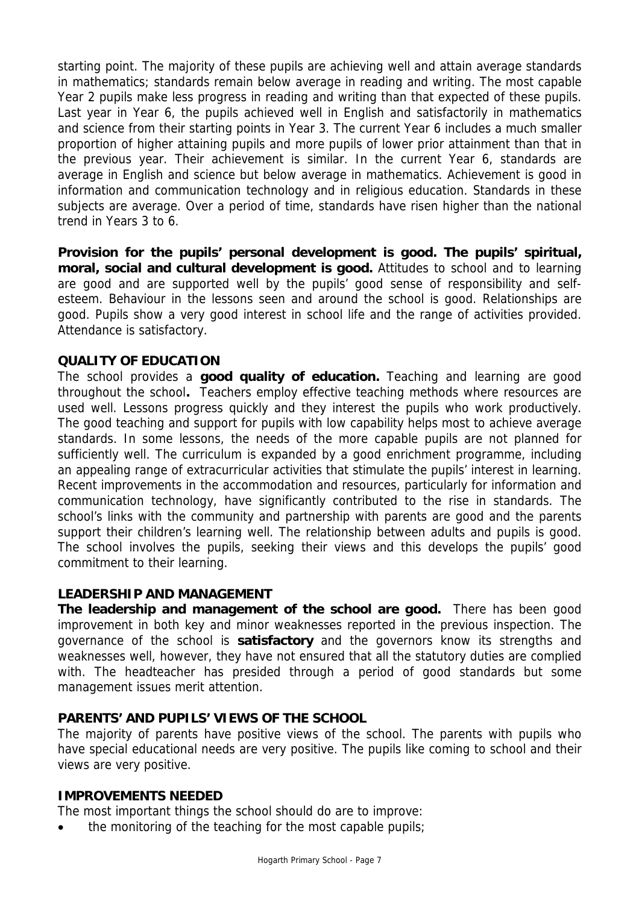starting point. The majority of these pupils are achieving well and attain average standards in mathematics; standards remain below average in reading and writing. The most capable Year 2 pupils make less progress in reading and writing than that expected of these pupils. Last year in Year 6, the pupils achieved well in English and satisfactorily in mathematics and science from their starting points in Year 3. The current Year 6 includes a much smaller proportion of higher attaining pupils and more pupils of lower prior attainment than that in the previous year. Their achievement is similar. In the current Year 6, standards are average in English and science but below average in mathematics. Achievement is good in information and communication technology and in religious education. Standards in these subjects are average. Over a period of time, standards have risen higher than the national trend in Years 3 to 6.

**Provision for the pupils' personal development is good. The pupils' spiritual, moral, social and cultural development is good.** Attitudes to school and to learning are good and are supported well by the pupils' good sense of responsibility and selfesteem. Behaviour in the lessons seen and around the school is good. Relationships are good. Pupils show a very good interest in school life and the range of activities provided. Attendance is satisfactory.

# **QUALITY OF EDUCATION**

The school provides a **good quality of education.** Teaching and learning are good throughout the school**.** Teachers employ effective teaching methods where resources are used well. Lessons progress quickly and they interest the pupils who work productively. The good teaching and support for pupils with low capability helps most to achieve average standards. In some lessons, the needs of the more capable pupils are not planned for sufficiently well. The curriculum is expanded by a good enrichment programme, including an appealing range of extracurricular activities that stimulate the pupils' interest in learning. Recent improvements in the accommodation and resources, particularly for information and communication technology, have significantly contributed to the rise in standards. The school's links with the community and partnership with parents are good and the parents support their children's learning well. The relationship between adults and pupils is good. The school involves the pupils, seeking their views and this develops the pupils' good commitment to their learning.

## **LEADERSHIP AND MANAGEMENT**

**The leadership and management of the school are good.** There has been good improvement in both key and minor weaknesses reported in the previous inspection. The governance of the school is **satisfactory** and the governors know its strengths and weaknesses well, however, they have not ensured that all the statutory duties are complied with. The headteacher has presided through a period of good standards but some management issues merit attention.

## **PARENTS' AND PUPILS' VIEWS OF THE SCHOOL**

The majority of parents have positive views of the school. The parents with pupils who have special educational needs are very positive. The pupils like coming to school and their views are very positive.

## **IMPROVEMENTS NEEDED**

The most important things the school should do are to improve:

the monitoring of the teaching for the most capable pupils;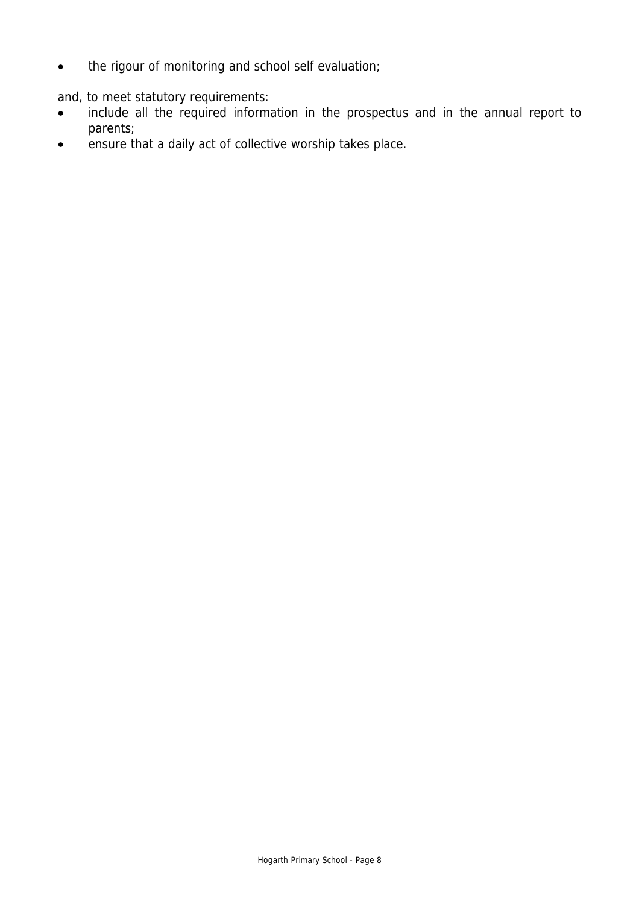• the rigour of monitoring and school self evaluation;

and, to meet statutory requirements:

- include all the required information in the prospectus and in the annual report to parents;
- ensure that a daily act of collective worship takes place.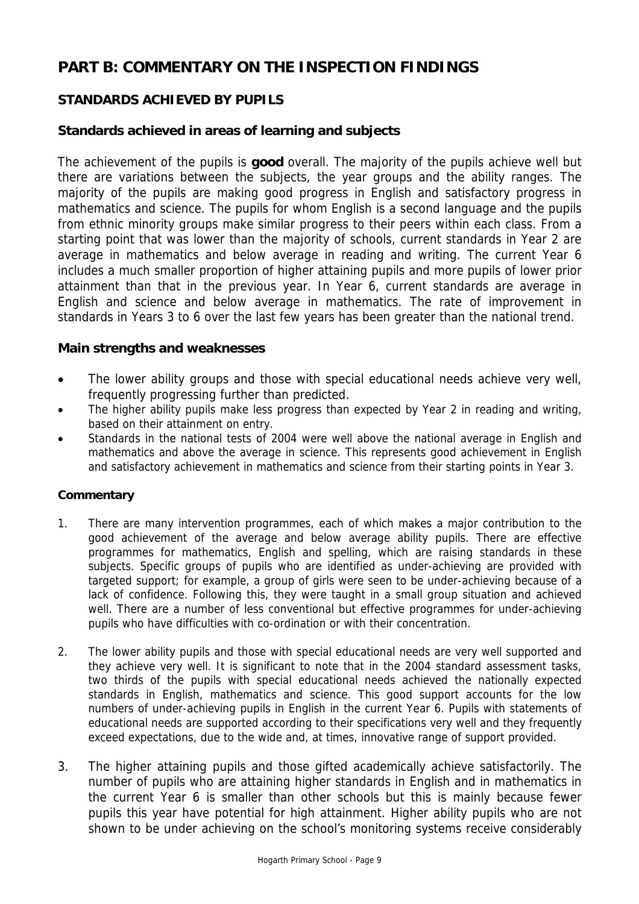# **PART B: COMMENTARY ON THE INSPECTION FINDINGS**

# **STANDARDS ACHIEVED BY PUPILS**

# **Standards achieved in areas of learning and subjects**

The achievement of the pupils is **good** overall. The majority of the pupils achieve well but there are variations between the subjects, the year groups and the ability ranges. The majority of the pupils are making good progress in English and satisfactory progress in mathematics and science. The pupils for whom English is a second language and the pupils from ethnic minority groups make similar progress to their peers within each class. From a starting point that was lower than the majority of schools, current standards in Year 2 are average in mathematics and below average in reading and writing. The current Year 6 includes a much smaller proportion of higher attaining pupils and more pupils of lower prior attainment than that in the previous year. In Year 6, current standards are average in English and science and below average in mathematics. The rate of improvement in standards in Years 3 to 6 over the last few years has been greater than the national trend.

## **Main strengths and weaknesses**

- The lower ability groups and those with special educational needs achieve very well, frequently progressing further than predicted.
- The higher ability pupils make less progress than expected by Year 2 in reading and writing, based on their attainment on entry.
- Standards in the national tests of 2004 were well above the national average in English and mathematics and above the average in science. This represents good achievement in English and satisfactory achievement in mathematics and science from their starting points in Year 3.

- 1. There are many intervention programmes, each of which makes a major contribution to the good achievement of the average and below average ability pupils. There are effective programmes for mathematics, English and spelling, which are raising standards in these subjects. Specific groups of pupils who are identified as under-achieving are provided with targeted support; for example, a group of girls were seen to be under-achieving because of a lack of confidence. Following this, they were taught in a small group situation and achieved well. There are a number of less conventional but effective programmes for under-achieving pupils who have difficulties with co-ordination or with their concentration.
- 2. The lower ability pupils and those with special educational needs are very well supported and they achieve very well. It is significant to note that in the 2004 standard assessment tasks, two thirds of the pupils with special educational needs achieved the nationally expected standards in English, mathematics and science. This good support accounts for the low numbers of under-achieving pupils in English in the current Year 6. Pupils with statements of educational needs are supported according to their specifications very well and they frequently exceed expectations, due to the wide and, at times, innovative range of support provided.
- 3. The higher attaining pupils and those gifted academically achieve satisfactorily. The number of pupils who are attaining higher standards in English and in mathematics in the current Year 6 is smaller than other schools but this is mainly because fewer pupils this year have potential for high attainment. Higher ability pupils who are not shown to be under achieving on the school's monitoring systems receive considerably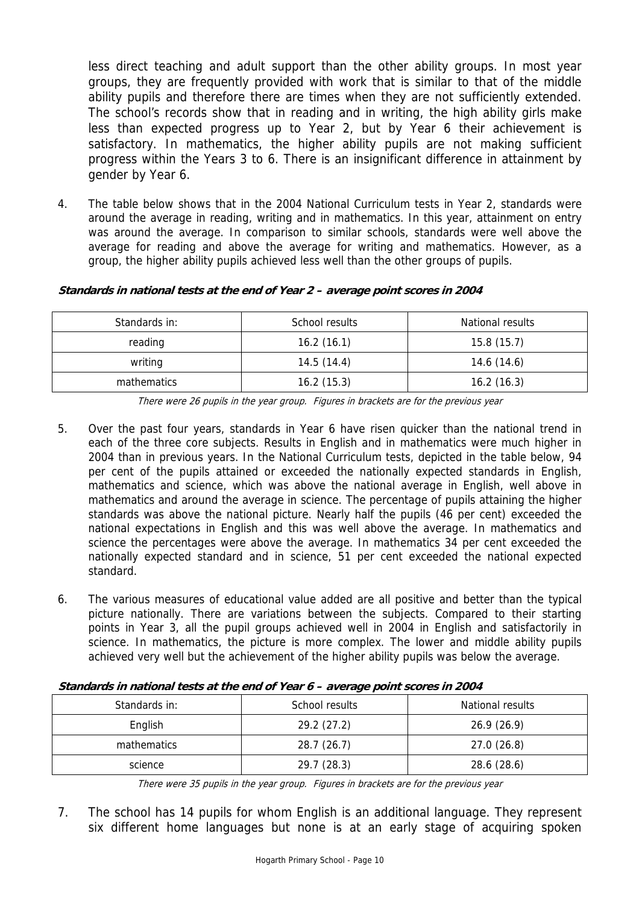less direct teaching and adult support than the other ability groups. In most year groups, they are frequently provided with work that is similar to that of the middle ability pupils and therefore there are times when they are not sufficiently extended. The school's records show that in reading and in writing, the high ability girls make less than expected progress up to Year 2, but by Year 6 their achievement is satisfactory. In mathematics, the higher ability pupils are not making sufficient progress within the Years 3 to 6. There is an insignificant difference in attainment by gender by Year 6.

4. The table below shows that in the 2004 National Curriculum tests in Year 2, standards were around the average in reading, writing and in mathematics. In this year, attainment on entry was around the average. In comparison to similar schools, standards were well above the average for reading and above the average for writing and mathematics. However, as a group, the higher ability pupils achieved less well than the other groups of pupils.

#### **Standards in national tests at the end of Year 2 – average point scores in 2004**

| Standards in: | School results | National results |
|---------------|----------------|------------------|
| reading       | 16.2(16.1)     | 15.8(15.7)       |
| writing       | 14.5(14.4)     | 14.6(14.6)       |
| mathematics   | 16.2(15.3)     | 16.2(16.3)       |

There were 26 pupils in the year group. Figures in brackets are for the previous year

- 5. Over the past four years, standards in Year 6 have risen quicker than the national trend in each of the three core subjects. Results in English and in mathematics were much higher in 2004 than in previous years. In the National Curriculum tests, depicted in the table below, 94 per cent of the pupils attained or exceeded the nationally expected standards in English, mathematics and science, which was above the national average in English, well above in mathematics and around the average in science. The percentage of pupils attaining the higher standards was above the national picture. Nearly half the pupils (46 per cent) exceeded the national expectations in English and this was well above the average. In mathematics and science the percentages were above the average. In mathematics 34 per cent exceeded the nationally expected standard and in science, 51 per cent exceeded the national expected standard.
- 6. The various measures of educational value added are all positive and better than the typical picture nationally. There are variations between the subjects. Compared to their starting points in Year 3, all the pupil groups achieved well in 2004 in English and satisfactorily in science. In mathematics, the picture is more complex. The lower and middle ability pupils achieved very well but the achievement of the higher ability pupils was below the average.

| <u>the company of the company of the company of the company of the company of the company of the company of the company of the company of the company of the company of the company of the company of the company of the company</u> |                |                  |
|--------------------------------------------------------------------------------------------------------------------------------------------------------------------------------------------------------------------------------------|----------------|------------------|
| Standards in:                                                                                                                                                                                                                        | School results | National results |
| English                                                                                                                                                                                                                              | 29.2 (27.2)    | 26.9(26.9)       |

#### **Standards in national tests at the end of Year 6 – average point scores in 2004**

There were 35 pupils in the year group. Figures in brackets are for the previous year

mathematics 128.7 (26.7) 27.0 (26.8) science 129.7 (28.3) 28.6 (28.6)

7. The school has 14 pupils for whom English is an additional language. They represent six different home languages but none is at an early stage of acquiring spoken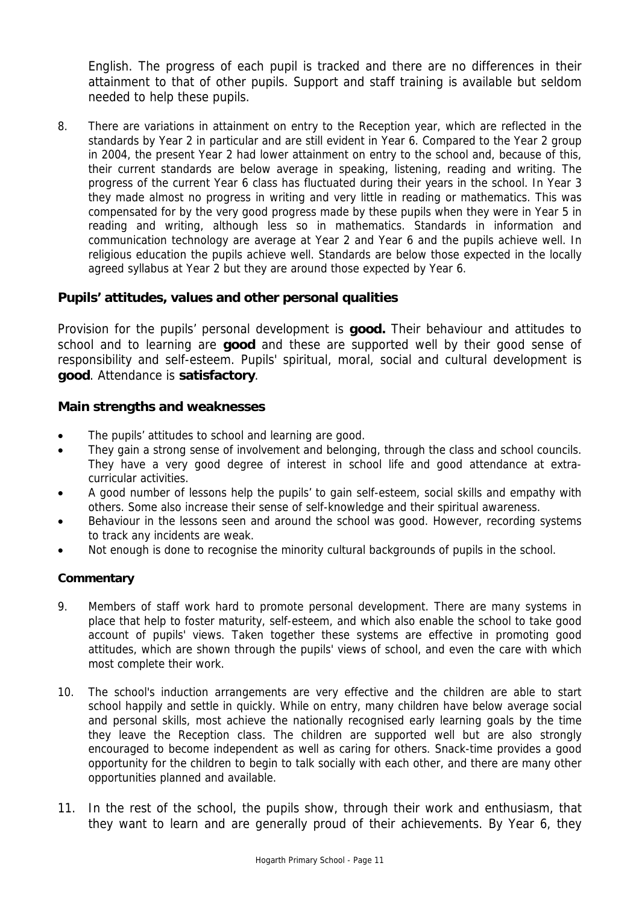English. The progress of each pupil is tracked and there are no differences in their attainment to that of other pupils. Support and staff training is available but seldom needed to help these pupils.

8. There are variations in attainment on entry to the Reception year, which are reflected in the standards by Year 2 in particular and are still evident in Year 6. Compared to the Year 2 group in 2004, the present Year 2 had lower attainment on entry to the school and, because of this, their current standards are below average in speaking, listening, reading and writing. The progress of the current Year 6 class has fluctuated during their years in the school. In Year 3 they made almost no progress in writing and very little in reading or mathematics. This was compensated for by the very good progress made by these pupils when they were in Year 5 in reading and writing, although less so in mathematics. Standards in information and communication technology are average at Year 2 and Year 6 and the pupils achieve well. In religious education the pupils achieve well. Standards are below those expected in the locally agreed syllabus at Year 2 but they are around those expected by Year 6.

# **Pupils' attitudes, values and other personal qualities**

Provision for the pupils' personal development is **good.** Their behaviour and attitudes to school and to learning are **good** and these are supported well by their good sense of responsibility and self-esteem. Pupils' spiritual, moral, social and cultural development is **good**. Attendance is **satisfactory**.

## **Main strengths and weaknesses**

- The pupils' attitudes to school and learning are good.
- They gain a strong sense of involvement and belonging, through the class and school councils. They have a very good degree of interest in school life and good attendance at extracurricular activities.
- A good number of lessons help the pupils' to gain self-esteem, social skills and empathy with others. Some also increase their sense of self-knowledge and their spiritual awareness.
- Behaviour in the lessons seen and around the school was good. However, recording systems to track any incidents are weak.
- Not enough is done to recognise the minority cultural backgrounds of pupils in the school.

- 9. Members of staff work hard to promote personal development. There are many systems in place that help to foster maturity, self-esteem, and which also enable the school to take good account of pupils' views. Taken together these systems are effective in promoting good attitudes, which are shown through the pupils' views of school, and even the care with which most complete their work.
- 10. The school's induction arrangements are very effective and the children are able to start school happily and settle in quickly. While on entry, many children have below average social and personal skills, most achieve the nationally recognised early learning goals by the time they leave the Reception class. The children are supported well but are also strongly encouraged to become independent as well as caring for others. Snack-time provides a good opportunity for the children to begin to talk socially with each other, and there are many other opportunities planned and available.
- 11. In the rest of the school, the pupils show, through their work and enthusiasm, that they want to learn and are generally proud of their achievements. By Year 6, they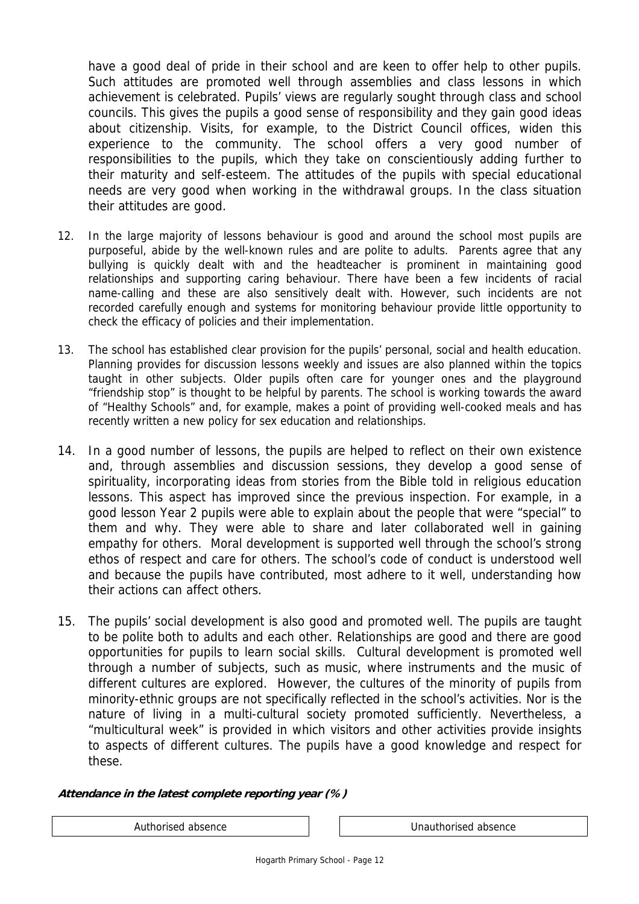have a good deal of pride in their school and are keen to offer help to other pupils. Such attitudes are promoted well through assemblies and class lessons in which achievement is celebrated. Pupils' views are regularly sought through class and school councils. This gives the pupils a good sense of responsibility and they gain good ideas about citizenship. Visits, for example, to the District Council offices, widen this experience to the community. The school offers a very good number of responsibilities to the pupils, which they take on conscientiously adding further to their maturity and self-esteem. The attitudes of the pupils with special educational needs are very good when working in the withdrawal groups. In the class situation their attitudes are good.

- 12. In the large majority of lessons behaviour is good and around the school most pupils are purposeful, abide by the well-known rules and are polite to adults. Parents agree that any bullying is quickly dealt with and the headteacher is prominent in maintaining good relationships and supporting caring behaviour. There have been a few incidents of racial name-calling and these are also sensitively dealt with. However, such incidents are not recorded carefully enough and systems for monitoring behaviour provide little opportunity to check the efficacy of policies and their implementation.
- 13. The school has established clear provision for the pupils' personal, social and health education. Planning provides for discussion lessons weekly and issues are also planned within the topics taught in other subjects. Older pupils often care for younger ones and the playground "friendship stop" is thought to be helpful by parents. The school is working towards the award of "Healthy Schools" and, for example, makes a point of providing well-cooked meals and has recently written a new policy for sex education and relationships.
- 14. In a good number of lessons, the pupils are helped to reflect on their own existence and, through assemblies and discussion sessions, they develop a good sense of spirituality, incorporating ideas from stories from the Bible told in religious education lessons. This aspect has improved since the previous inspection. For example, in a good lesson Year 2 pupils were able to explain about the people that were "special" to them and why. They were able to share and later collaborated well in gaining empathy for others. Moral development is supported well through the school's strong ethos of respect and care for others. The school's code of conduct is understood well and because the pupils have contributed, most adhere to it well, understanding how their actions can affect others.
- 15. The pupils' social development is also good and promoted well. The pupils are taught to be polite both to adults and each other. Relationships are good and there are good opportunities for pupils to learn social skills. Cultural development is promoted well through a number of subjects, such as music, where instruments and the music of different cultures are explored. However, the cultures of the minority of pupils from minority-ethnic groups are not specifically reflected in the school's activities. Nor is the nature of living in a multi-cultural society promoted sufficiently. Nevertheless, a "multicultural week" is provided in which visitors and other activities provide insights to aspects of different cultures. The pupils have a good knowledge and respect for these.

#### **Attendance in the latest complete reporting year (%)**

Authorised absence Tennis and Tennis Unauthorised absence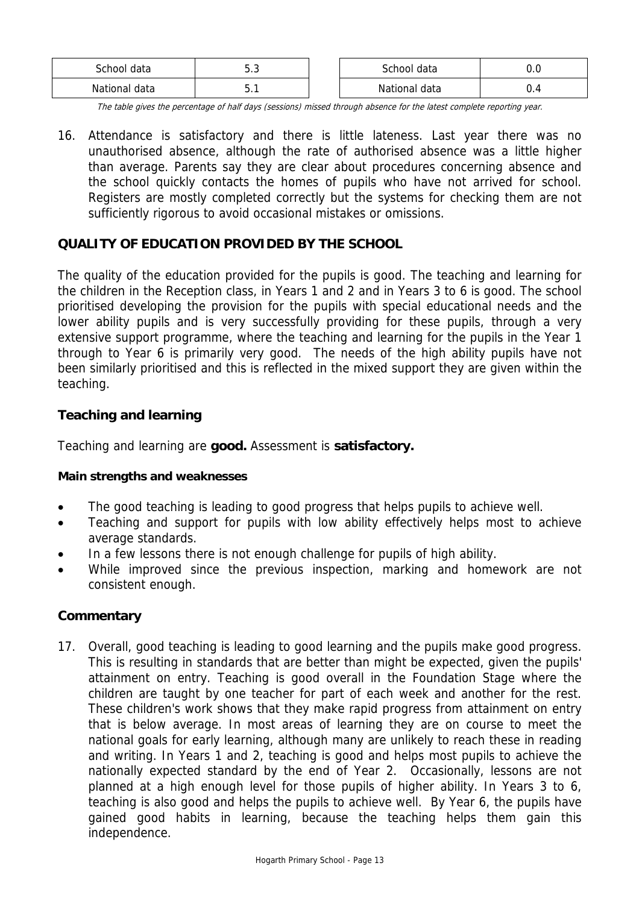| School<br>data | -<br><b></b> | school data         | $ -$ |
|----------------|--------------|---------------------|------|
| National data  |              | ational data<br>Na. | ◡.   |

The table gives the percentage of half days (sessions) missed through absence for the latest complete reporting year.

16. Attendance is satisfactory and there is little lateness. Last year there was no unauthorised absence, although the rate of authorised absence was a little higher than average. Parents say they are clear about procedures concerning absence and the school quickly contacts the homes of pupils who have not arrived for school. Registers are mostly completed correctly but the systems for checking them are not sufficiently rigorous to avoid occasional mistakes or omissions.

# **QUALITY OF EDUCATION PROVIDED BY THE SCHOOL**

The quality of the education provided for the pupils is good. The teaching and learning for the children in the Reception class, in Years 1 and 2 and in Years 3 to 6 is good. The school prioritised developing the provision for the pupils with special educational needs and the lower ability pupils and is very successfully providing for these pupils, through a very extensive support programme, where the teaching and learning for the pupils in the Year 1 through to Year 6 is primarily very good. The needs of the high ability pupils have not been similarly prioritised and this is reflected in the mixed support they are given within the teaching.

# **Teaching and learning**

Teaching and learning are **good.** Assessment is **satisfactory.** 

## **Main strengths and weaknesses**

- The good teaching is leading to good progress that helps pupils to achieve well.
- Teaching and support for pupils with low ability effectively helps most to achieve average standards.
- In a few lessons there is not enough challenge for pupils of high ability.
- While improved since the previous inspection, marking and homework are not consistent enough.

# **Commentary**

17. Overall, good teaching is leading to good learning and the pupils make good progress. This is resulting in standards that are better than might be expected, given the pupils' attainment on entry. Teaching is good overall in the Foundation Stage where the children are taught by one teacher for part of each week and another for the rest. These children's work shows that they make rapid progress from attainment on entry that is below average. In most areas of learning they are on course to meet the national goals for early learning, although many are unlikely to reach these in reading and writing. In Years 1 and 2, teaching is good and helps most pupils to achieve the nationally expected standard by the end of Year 2. Occasionally, lessons are not planned at a high enough level for those pupils of higher ability. In Years 3 to 6, teaching is also good and helps the pupils to achieve well. By Year 6, the pupils have gained good habits in learning, because the teaching helps them gain this independence.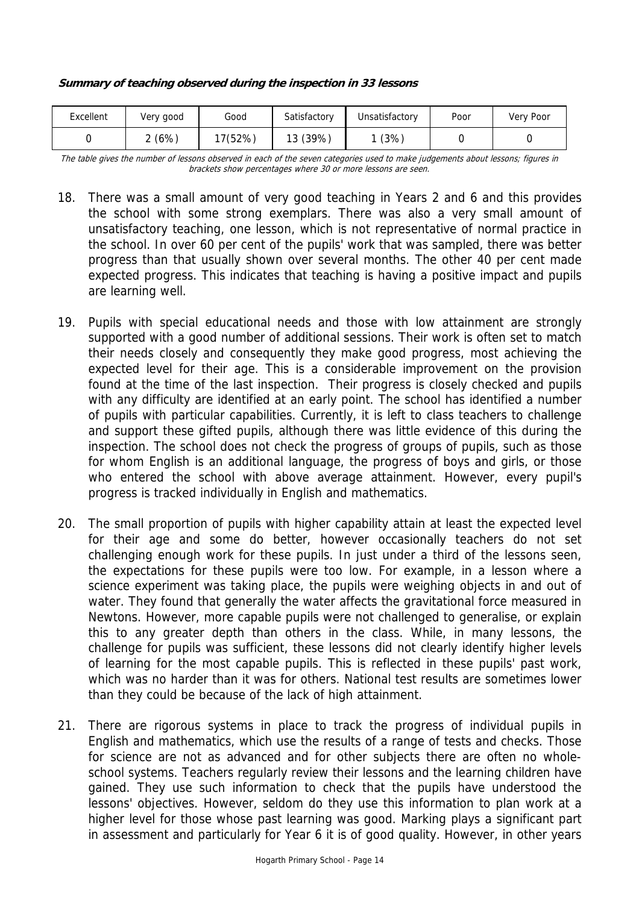#### **Summary of teaching observed during the inspection in 33 lessons**

| Excellent | Very good | Good    | Satisfactory | Unsatisfactory | Poor | Very Poor |
|-----------|-----------|---------|--------------|----------------|------|-----------|
|           | (6%)      | 17(52%) | 13 (39%)     | (3%)           |      |           |

The table gives the number of lessons observed in each of the seven categories used to make judgements about lessons; figures in brackets show percentages where 30 or more lessons are seen.

- 18. There was a small amount of very good teaching in Years 2 and 6 and this provides the school with some strong exemplars. There was also a very small amount of unsatisfactory teaching, one lesson, which is not representative of normal practice in the school. In over 60 per cent of the pupils' work that was sampled, there was better progress than that usually shown over several months. The other 40 per cent made expected progress. This indicates that teaching is having a positive impact and pupils are learning well.
- 19. Pupils with special educational needs and those with low attainment are strongly supported with a good number of additional sessions. Their work is often set to match their needs closely and consequently they make good progress, most achieving the expected level for their age. This is a considerable improvement on the provision found at the time of the last inspection. Their progress is closely checked and pupils with any difficulty are identified at an early point. The school has identified a number of pupils with particular capabilities. Currently, it is left to class teachers to challenge and support these gifted pupils, although there was little evidence of this during the inspection. The school does not check the progress of groups of pupils, such as those for whom English is an additional language, the progress of boys and girls, or those who entered the school with above average attainment. However, every pupil's progress is tracked individually in English and mathematics.
- 20. The small proportion of pupils with higher capability attain at least the expected level for their age and some do better, however occasionally teachers do not set challenging enough work for these pupils. In just under a third of the lessons seen, the expectations for these pupils were too low. For example, in a lesson where a science experiment was taking place, the pupils were weighing objects in and out of water. They found that generally the water affects the gravitational force measured in Newtons. However, more capable pupils were not challenged to generalise, or explain this to any greater depth than others in the class. While, in many lessons, the challenge for pupils was sufficient, these lessons did not clearly identify higher levels of learning for the most capable pupils. This is reflected in these pupils' past work, which was no harder than it was for others. National test results are sometimes lower than they could be because of the lack of high attainment.
- 21. There are rigorous systems in place to track the progress of individual pupils in English and mathematics, which use the results of a range of tests and checks. Those for science are not as advanced and for other subjects there are often no wholeschool systems. Teachers regularly review their lessons and the learning children have gained. They use such information to check that the pupils have understood the lessons' objectives. However, seldom do they use this information to plan work at a higher level for those whose past learning was good. Marking plays a significant part in assessment and particularly for Year 6 it is of good quality. However, in other years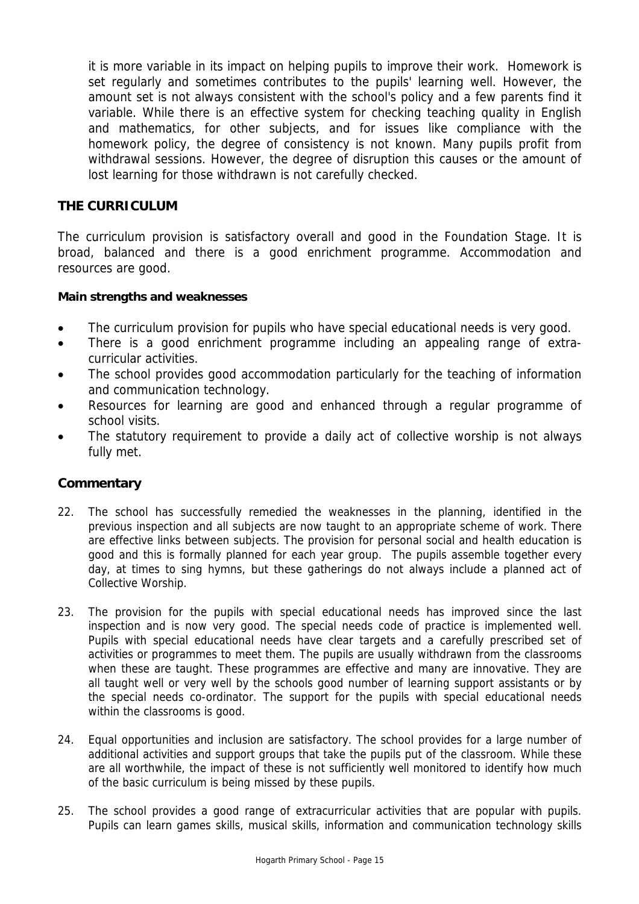it is more variable in its impact on helping pupils to improve their work. Homework is set regularly and sometimes contributes to the pupils' learning well. However, the amount set is not always consistent with the school's policy and a few parents find it variable. While there is an effective system for checking teaching quality in English and mathematics, for other subjects, and for issues like compliance with the homework policy, the degree of consistency is not known. Many pupils profit from withdrawal sessions. However, the degree of disruption this causes or the amount of lost learning for those withdrawn is not carefully checked.

# **THE CURRICULUM**

The curriculum provision is satisfactory overall and good in the Foundation Stage. It is broad, balanced and there is a good enrichment programme. Accommodation and resources are good.

## **Main strengths and weaknesses**

- The curriculum provision for pupils who have special educational needs is very good.
- There is a good enrichment programme including an appealing range of extracurricular activities.
- The school provides good accommodation particularly for the teaching of information and communication technology.
- Resources for learning are good and enhanced through a regular programme of school visits.
- The statutory requirement to provide a daily act of collective worship is not always fully met.

- 22. The school has successfully remedied the weaknesses in the planning, identified in the previous inspection and all subjects are now taught to an appropriate scheme of work. There are effective links between subjects. The provision for personal social and health education is good and this is formally planned for each year group. The pupils assemble together every day, at times to sing hymns, but these gatherings do not always include a planned act of Collective Worship.
- 23. The provision for the pupils with special educational needs has improved since the last inspection and is now very good. The special needs code of practice is implemented well. Pupils with special educational needs have clear targets and a carefully prescribed set of activities or programmes to meet them. The pupils are usually withdrawn from the classrooms when these are taught. These programmes are effective and many are innovative. They are all taught well or very well by the schools good number of learning support assistants or by the special needs co-ordinator. The support for the pupils with special educational needs within the classrooms is good.
- 24. Equal opportunities and inclusion are satisfactory. The school provides for a large number of additional activities and support groups that take the pupils put of the classroom. While these are all worthwhile, the impact of these is not sufficiently well monitored to identify how much of the basic curriculum is being missed by these pupils.
- 25. The school provides a good range of extracurricular activities that are popular with pupils. Pupils can learn games skills, musical skills, information and communication technology skills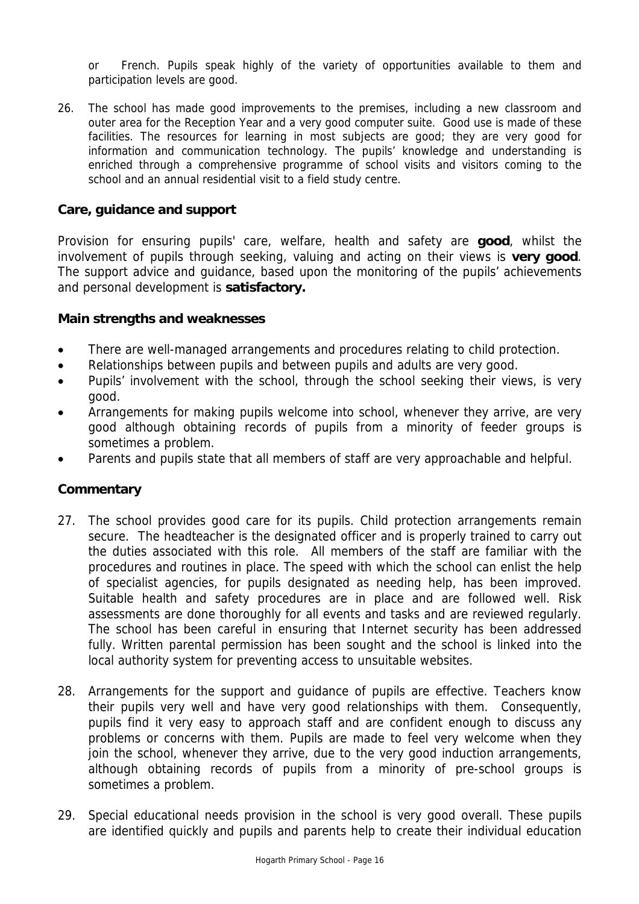or French. Pupils speak highly of the variety of opportunities available to them and participation levels are good.

26. The school has made good improvements to the premises, including a new classroom and outer area for the Reception Year and a very good computer suite. Good use is made of these facilities. The resources for learning in most subjects are good; they are very good for information and communication technology. The pupils' knowledge and understanding is enriched through a comprehensive programme of school visits and visitors coming to the school and an annual residential visit to a field study centre.

#### **Care, guidance and support**

Provision for ensuring pupils' care, welfare, health and safety are **good**, whilst the involvement of pupils through seeking, valuing and acting on their views is **very good**. The support advice and guidance, based upon the monitoring of the pupils' achievements and personal development is **satisfactory.**

#### **Main strengths and weaknesses**

- There are well-managed arrangements and procedures relating to child protection.
- Relationships between pupils and between pupils and adults are very good.
- Pupils' involvement with the school, through the school seeking their views, is very good.
- Arrangements for making pupils welcome into school, whenever they arrive, are very good although obtaining records of pupils from a minority of feeder groups is sometimes a problem.
- Parents and pupils state that all members of staff are very approachable and helpful.

- 27. The school provides good care for its pupils. Child protection arrangements remain secure. The headteacher is the designated officer and is properly trained to carry out the duties associated with this role. All members of the staff are familiar with the procedures and routines in place. The speed with which the school can enlist the help of specialist agencies, for pupils designated as needing help, has been improved. Suitable health and safety procedures are in place and are followed well. Risk assessments are done thoroughly for all events and tasks and are reviewed regularly. The school has been careful in ensuring that Internet security has been addressed fully. Written parental permission has been sought and the school is linked into the local authority system for preventing access to unsuitable websites.
- 28. Arrangements for the support and guidance of pupils are effective. Teachers know their pupils very well and have very good relationships with them. Consequently, pupils find it very easy to approach staff and are confident enough to discuss any problems or concerns with them. Pupils are made to feel very welcome when they join the school, whenever they arrive, due to the very good induction arrangements, although obtaining records of pupils from a minority of pre-school groups is sometimes a problem.
- 29. Special educational needs provision in the school is very good overall. These pupils are identified quickly and pupils and parents help to create their individual education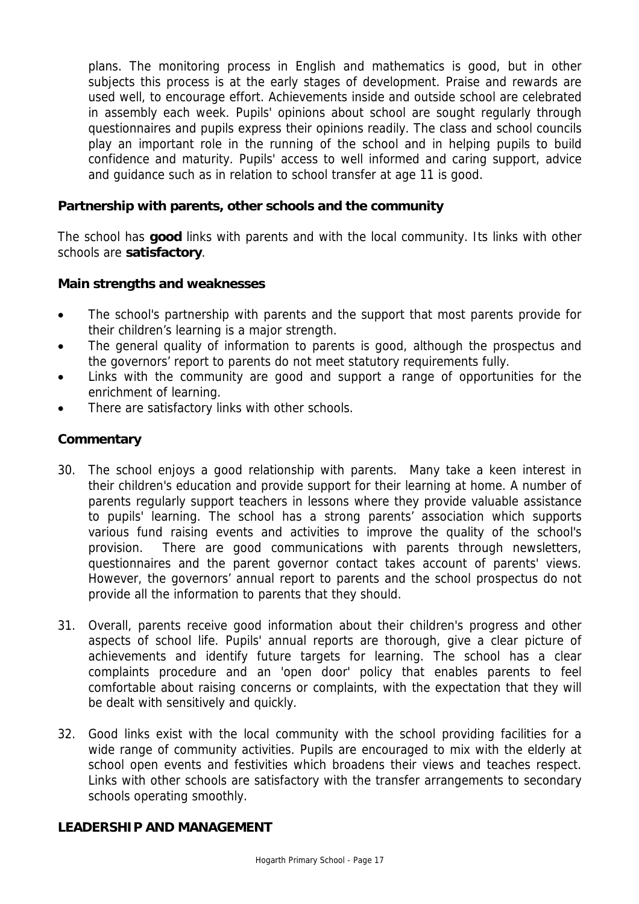plans. The monitoring process in English and mathematics is good, but in other subjects this process is at the early stages of development. Praise and rewards are used well, to encourage effort. Achievements inside and outside school are celebrated in assembly each week. Pupils' opinions about school are sought regularly through questionnaires and pupils express their opinions readily. The class and school councils play an important role in the running of the school and in helping pupils to build confidence and maturity. Pupils' access to well informed and caring support, advice and guidance such as in relation to school transfer at age 11 is good.

# **Partnership with parents, other schools and the community**

The school has **good** links with parents and with the local community. Its links with other schools are **satisfactory**.

## **Main strengths and weaknesses**

- The school's partnership with parents and the support that most parents provide for their children's learning is a major strength.
- The general quality of information to parents is good, although the prospectus and the governors' report to parents do not meet statutory requirements fully.
- Links with the community are good and support a range of opportunities for the enrichment of learning.
- There are satisfactory links with other schools.

# **Commentary**

- 30. The school enjoys a good relationship with parents. Many take a keen interest in their children's education and provide support for their learning at home. A number of parents regularly support teachers in lessons where they provide valuable assistance to pupils' learning. The school has a strong parents' association which supports various fund raising events and activities to improve the quality of the school's provision. There are good communications with parents through newsletters, questionnaires and the parent governor contact takes account of parents' views. However, the governors' annual report to parents and the school prospectus do not provide all the information to parents that they should.
- 31. Overall, parents receive good information about their children's progress and other aspects of school life. Pupils' annual reports are thorough, give a clear picture of achievements and identify future targets for learning. The school has a clear complaints procedure and an 'open door' policy that enables parents to feel comfortable about raising concerns or complaints, with the expectation that they will be dealt with sensitively and quickly.
- 32. Good links exist with the local community with the school providing facilities for a wide range of community activities. Pupils are encouraged to mix with the elderly at school open events and festivities which broadens their views and teaches respect. Links with other schools are satisfactory with the transfer arrangements to secondary schools operating smoothly.

## **LEADERSHIP AND MANAGEMENT**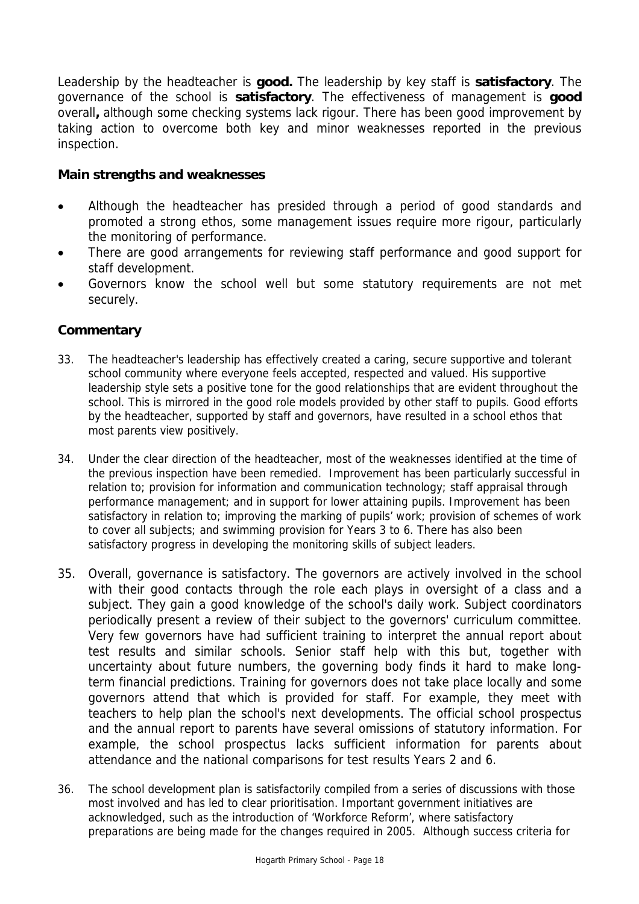Leadership by the headteacher is **good.** The leadership by key staff is **satisfactory**. The governance of the school is **satisfactory**. The effectiveness of management is **good**  overall**,** although some checking systems lack rigour. There has been good improvement by taking action to overcome both key and minor weaknesses reported in the previous inspection.

# **Main strengths and weaknesses**

- Although the headteacher has presided through a period of good standards and promoted a strong ethos, some management issues require more rigour, particularly the monitoring of performance.
- There are good arrangements for reviewing staff performance and good support for staff development.
- Governors know the school well but some statutory requirements are not met securely.

- 33. The headteacher's leadership has effectively created a caring, secure supportive and tolerant school community where everyone feels accepted, respected and valued. His supportive leadership style sets a positive tone for the good relationships that are evident throughout the school. This is mirrored in the good role models provided by other staff to pupils. Good efforts by the headteacher, supported by staff and governors, have resulted in a school ethos that most parents view positively.
- 34. Under the clear direction of the headteacher, most of the weaknesses identified at the time of the previous inspection have been remedied. Improvement has been particularly successful in relation to; provision for information and communication technology; staff appraisal through performance management; and in support for lower attaining pupils. Improvement has been satisfactory in relation to; improving the marking of pupils' work; provision of schemes of work to cover all subjects; and swimming provision for Years 3 to 6. There has also been satisfactory progress in developing the monitoring skills of subject leaders.
- 35. Overall, governance is satisfactory. The governors are actively involved in the school with their good contacts through the role each plays in oversight of a class and a subject. They gain a good knowledge of the school's daily work. Subject coordinators periodically present a review of their subject to the governors' curriculum committee. Very few governors have had sufficient training to interpret the annual report about test results and similar schools. Senior staff help with this but, together with uncertainty about future numbers, the governing body finds it hard to make longterm financial predictions. Training for governors does not take place locally and some governors attend that which is provided for staff. For example, they meet with teachers to help plan the school's next developments. The official school prospectus and the annual report to parents have several omissions of statutory information. For example, the school prospectus lacks sufficient information for parents about attendance and the national comparisons for test results Years 2 and 6.
- 36. The school development plan is satisfactorily compiled from a series of discussions with those most involved and has led to clear prioritisation. Important government initiatives are acknowledged, such as the introduction of 'Workforce Reform', where satisfactory preparations are being made for the changes required in 2005. Although success criteria for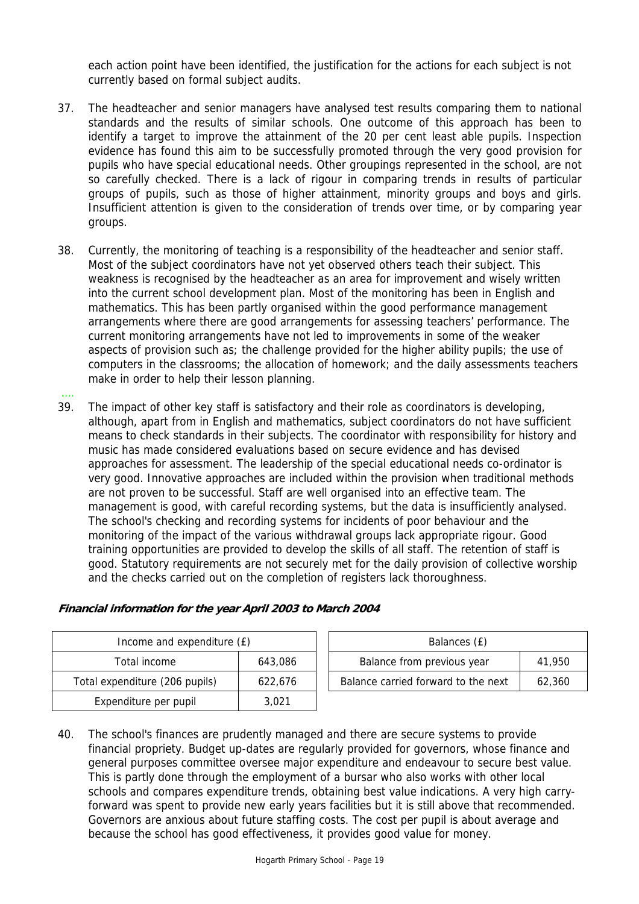each action point have been identified, the justification for the actions for each subject is not currently based on formal subject audits.

- 37. The headteacher and senior managers have analysed test results comparing them to national standards and the results of similar schools. One outcome of this approach has been to identify a target to improve the attainment of the 20 per cent least able pupils. Inspection evidence has found this aim to be successfully promoted through the very good provision for pupils who have special educational needs. Other groupings represented in the school, are not so carefully checked. There is a lack of rigour in comparing trends in results of particular groups of pupils, such as those of higher attainment, minority groups and boys and girls. Insufficient attention is given to the consideration of trends over time, or by comparing year groups.
- 38. Currently, the monitoring of teaching is a responsibility of the headteacher and senior staff. Most of the subject coordinators have not yet observed others teach their subject. This weakness is recognised by the headteacher as an area for improvement and wisely written into the current school development plan. Most of the monitoring has been in English and mathematics. This has been partly organised within the good performance management arrangements where there are good arrangements for assessing teachers' performance. The current monitoring arrangements have not led to improvements in some of the weaker aspects of provision such as; the challenge provided for the higher ability pupils; the use of computers in the classrooms; the allocation of homework; and the daily assessments teachers make in order to help their lesson planning.
- 39. The impact of other key staff is satisfactory and their role as coordinators is developing, although, apart from in English and mathematics, subject coordinators do not have sufficient means to check standards in their subjects. The coordinator with responsibility for history and music has made considered evaluations based on secure evidence and has devised approaches for assessment. The leadership of the special educational needs co-ordinator is very good. Innovative approaches are included within the provision when traditional methods are not proven to be successful. Staff are well organised into an effective team. The management is good, with careful recording systems, but the data is insufficiently analysed. The school's checking and recording systems for incidents of poor behaviour and the monitoring of the impact of the various withdrawal groups lack appropriate rigour. Good training opportunities are provided to develop the skills of all staff. The retention of staff is good. Statutory requirements are not securely met for the daily provision of collective worship and the checks carried out on the completion of registers lack thoroughness.

| Income and expenditure (£) |                                           | Balances (£) |                                     |        |
|----------------------------|-------------------------------------------|--------------|-------------------------------------|--------|
|                            | Total income                              | 643.086      | Balance from previous year          | 41,950 |
|                            | Total expenditure (206 pupils)<br>622.676 |              | Balance carried forward to the next | 62,360 |
|                            | Expenditure per pupil                     | 3.021        |                                     |        |

| Financial information for the year April 2003 to March 2004 |
|-------------------------------------------------------------|
|-------------------------------------------------------------|

….

| Balances (£)                        |        |
|-------------------------------------|--------|
| Balance from previous year          | 41.950 |
| Balance carried forward to the next | 62.360 |
|                                     |        |

40. The school's finances are prudently managed and there are secure systems to provide financial propriety. Budget up-dates are regularly provided for governors, whose finance and general purposes committee oversee major expenditure and endeavour to secure best value. This is partly done through the employment of a bursar who also works with other local schools and compares expenditure trends, obtaining best value indications. A very high carryforward was spent to provide new early years facilities but it is still above that recommended. Governors are anxious about future staffing costs. The cost per pupil is about average and because the school has good effectiveness, it provides good value for money.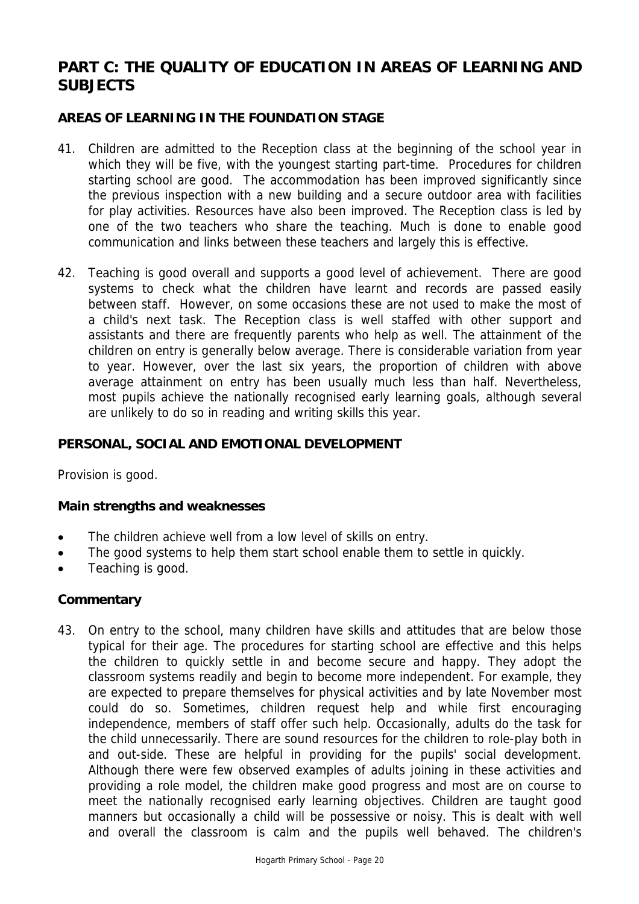# **PART C: THE QUALITY OF EDUCATION IN AREAS OF LEARNING AND SUBJECTS**

# **AREAS OF LEARNING IN THE FOUNDATION STAGE**

- 41. Children are admitted to the Reception class at the beginning of the school year in which they will be five, with the youngest starting part-time. Procedures for children starting school are good. The accommodation has been improved significantly since the previous inspection with a new building and a secure outdoor area with facilities for play activities. Resources have also been improved. The Reception class is led by one of the two teachers who share the teaching. Much is done to enable good communication and links between these teachers and largely this is effective.
- 42. Teaching is good overall and supports a good level of achievement. There are good systems to check what the children have learnt and records are passed easily between staff. However, on some occasions these are not used to make the most of a child's next task. The Reception class is well staffed with other support and assistants and there are frequently parents who help as well. The attainment of the children on entry is generally below average. There is considerable variation from year to year. However, over the last six years, the proportion of children with above average attainment on entry has been usually much less than half. Nevertheless, most pupils achieve the nationally recognised early learning goals, although several are unlikely to do so in reading and writing skills this year.

#### **PERSONAL, SOCIAL AND EMOTIONAL DEVELOPMENT**

Provision is good.

#### **Main strengths and weaknesses**

- The children achieve well from a low level of skills on entry.
- The good systems to help them start school enable them to settle in quickly.
- Teaching is good.

#### **Commentary**

43. On entry to the school, many children have skills and attitudes that are below those typical for their age. The procedures for starting school are effective and this helps the children to quickly settle in and become secure and happy. They adopt the classroom systems readily and begin to become more independent. For example, they are expected to prepare themselves for physical activities and by late November most could do so. Sometimes, children request help and while first encouraging independence, members of staff offer such help. Occasionally, adults do the task for the child unnecessarily. There are sound resources for the children to role-play both in and out-side. These are helpful in providing for the pupils' social development. Although there were few observed examples of adults joining in these activities and providing a role model, the children make good progress and most are on course to meet the nationally recognised early learning objectives. Children are taught good manners but occasionally a child will be possessive or noisy. This is dealt with well and overall the classroom is calm and the pupils well behaved. The children's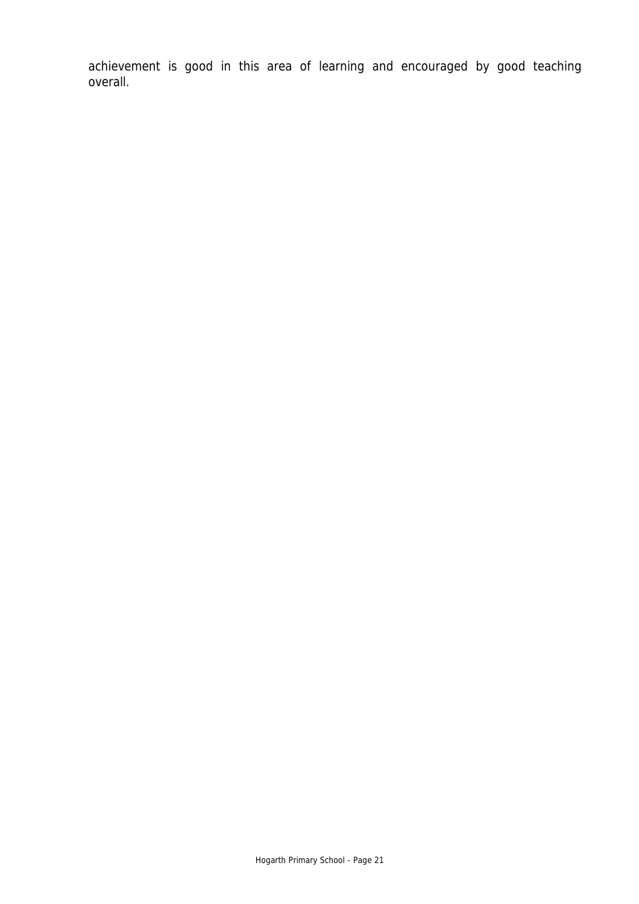achievement is good in this area of learning and encouraged by good teaching overall.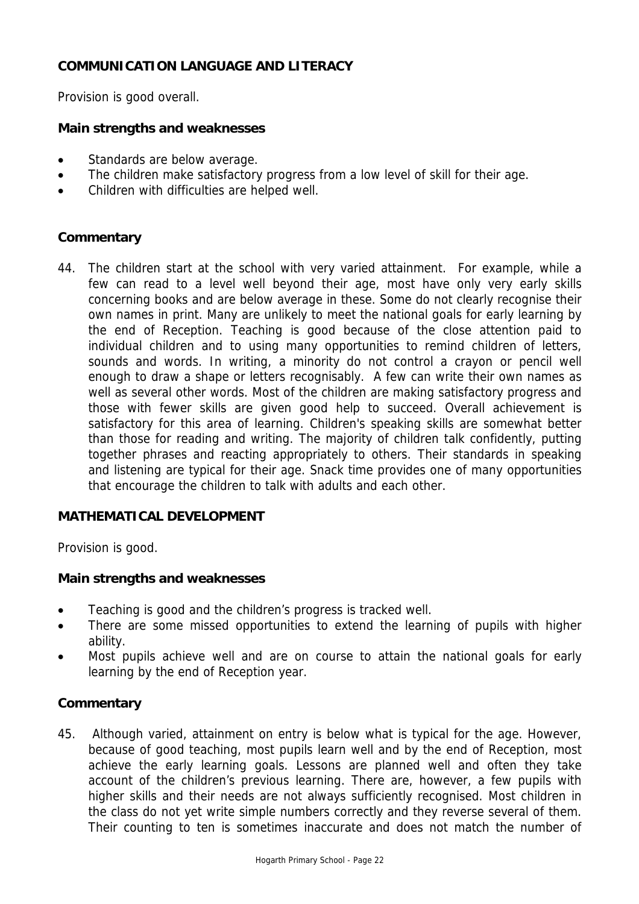# **COMMUNICATION LANGUAGE AND LITERACY**

Provision is good overall.

## **Main strengths and weaknesses**

- Standards are below average.
- The children make satisfactory progress from a low level of skill for their age.
- Children with difficulties are helped well.

#### **Commentary**

44. The children start at the school with very varied attainment. For example, while a few can read to a level well beyond their age, most have only very early skills concerning books and are below average in these. Some do not clearly recognise their own names in print. Many are unlikely to meet the national goals for early learning by the end of Reception. Teaching is good because of the close attention paid to individual children and to using many opportunities to remind children of letters, sounds and words. In writing, a minority do not control a crayon or pencil well enough to draw a shape or letters recognisably. A few can write their own names as well as several other words. Most of the children are making satisfactory progress and those with fewer skills are given good help to succeed. Overall achievement is satisfactory for this area of learning. Children's speaking skills are somewhat better than those for reading and writing. The majority of children talk confidently, putting together phrases and reacting appropriately to others. Their standards in speaking and listening are typical for their age. Snack time provides one of many opportunities that encourage the children to talk with adults and each other.

## **MATHEMATICAL DEVELOPMENT**

Provision is good.

#### **Main strengths and weaknesses**

- Teaching is good and the children's progress is tracked well.
- There are some missed opportunities to extend the learning of pupils with higher ability.
- Most pupils achieve well and are on course to attain the national goals for early learning by the end of Reception year.

#### **Commentary**

45. Although varied, attainment on entry is below what is typical for the age. However, because of good teaching, most pupils learn well and by the end of Reception, most achieve the early learning goals. Lessons are planned well and often they take account of the children's previous learning. There are, however, a few pupils with higher skills and their needs are not always sufficiently recognised. Most children in the class do not yet write simple numbers correctly and they reverse several of them. Their counting to ten is sometimes inaccurate and does not match the number of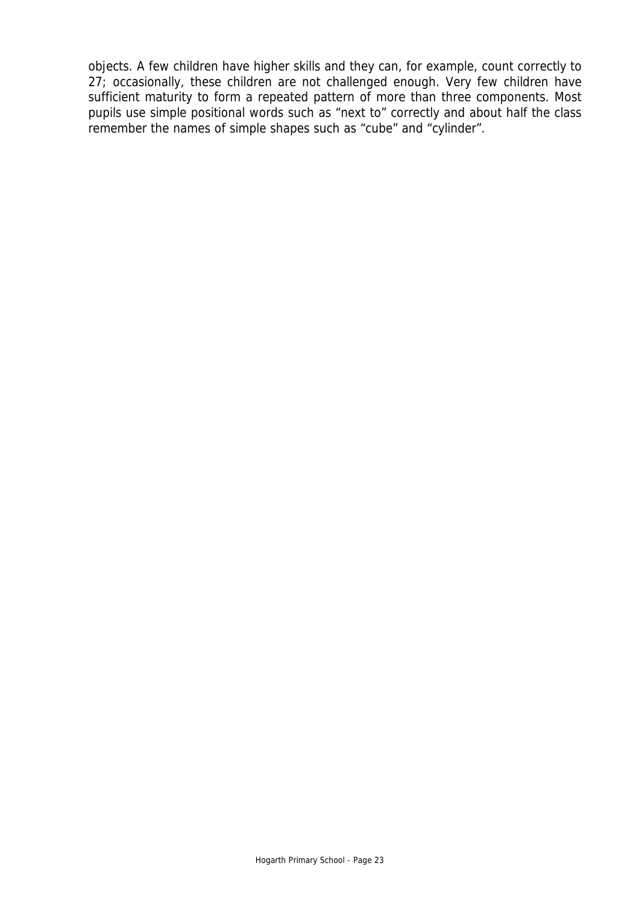objects. A few children have higher skills and they can, for example, count correctly to 27; occasionally, these children are not challenged enough. Very few children have sufficient maturity to form a repeated pattern of more than three components. Most pupils use simple positional words such as "next to" correctly and about half the class remember the names of simple shapes such as "cube" and "cylinder".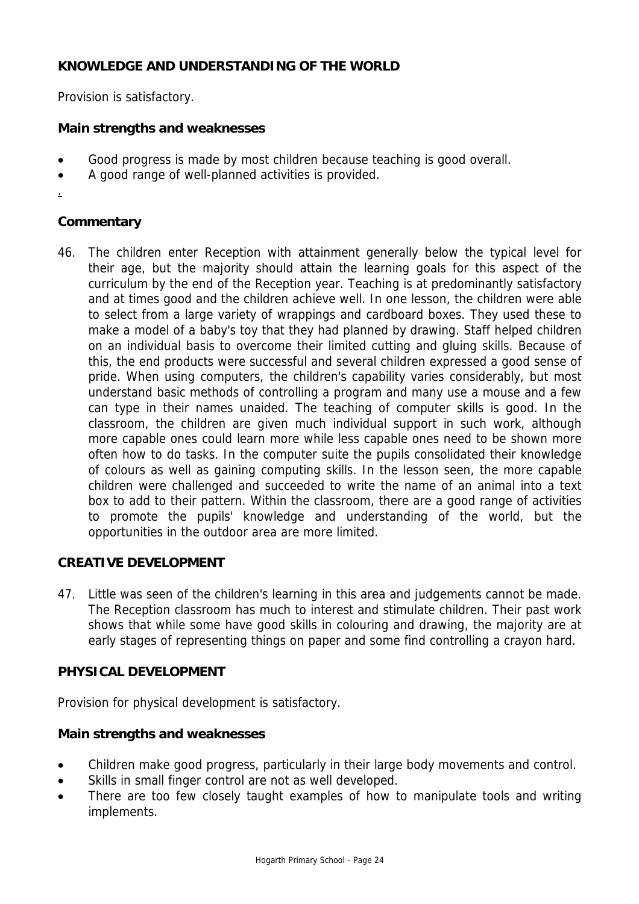# **KNOWLEDGE AND UNDERSTANDING OF THE WORLD**

Provision is satisfactory.

# **Main strengths and weaknesses**

- Good progress is made by most children because teaching is good overall.
- A good range of well-planned activities is provided.
- .

# **Commentary**

46. The children enter Reception with attainment generally below the typical level for their age, but the majority should attain the learning goals for this aspect of the curriculum by the end of the Reception year. Teaching is at predominantly satisfactory and at times good and the children achieve well. In one lesson, the children were able to select from a large variety of wrappings and cardboard boxes. They used these to make a model of a baby's toy that they had planned by drawing. Staff helped children on an individual basis to overcome their limited cutting and gluing skills. Because of this, the end products were successful and several children expressed a good sense of pride. When using computers, the children's capability varies considerably, but most understand basic methods of controlling a program and many use a mouse and a few can type in their names unaided. The teaching of computer skills is good. In the classroom, the children are given much individual support in such work, although more capable ones could learn more while less capable ones need to be shown more often how to do tasks. In the computer suite the pupils consolidated their knowledge of colours as well as gaining computing skills. In the lesson seen, the more capable children were challenged and succeeded to write the name of an animal into a text box to add to their pattern. Within the classroom, there are a good range of activities to promote the pupils' knowledge and understanding of the world, but the opportunities in the outdoor area are more limited.

## **CREATIVE DEVELOPMENT**

47. Little was seen of the children's learning in this area and judgements cannot be made. The Reception classroom has much to interest and stimulate children. Their past work shows that while some have good skills in colouring and drawing, the majority are at early stages of representing things on paper and some find controlling a crayon hard.

## **PHYSICAL DEVELOPMENT**

Provision for physical development is satisfactory.

## **Main strengths and weaknesses**

- Children make good progress, particularly in their large body movements and control.
- Skills in small finger control are not as well developed.
- There are too few closely taught examples of how to manipulate tools and writing implements.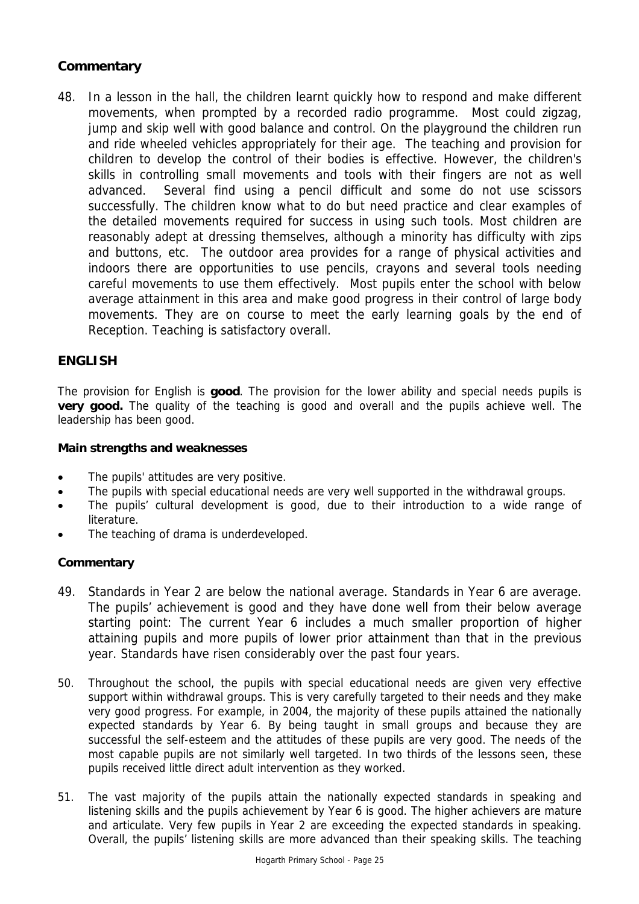# **Commentary**

48. In a lesson in the hall, the children learnt quickly how to respond and make different movements, when prompted by a recorded radio programme. Most could zigzag, jump and skip well with good balance and control. On the playground the children run and ride wheeled vehicles appropriately for their age. The teaching and provision for children to develop the control of their bodies is effective. However, the children's skills in controlling small movements and tools with their fingers are not as well advanced. Several find using a pencil difficult and some do not use scissors successfully. The children know what to do but need practice and clear examples of the detailed movements required for success in using such tools. Most children are reasonably adept at dressing themselves, although a minority has difficulty with zips and buttons, etc. The outdoor area provides for a range of physical activities and indoors there are opportunities to use pencils, crayons and several tools needing careful movements to use them effectively. Most pupils enter the school with below average attainment in this area and make good progress in their control of large body movements. They are on course to meet the early learning goals by the end of Reception. Teaching is satisfactory overall.

## **ENGLISH**

The provision for English is **good**. The provision for the lower ability and special needs pupils is **very good.** The quality of the teaching is good and overall and the pupils achieve well. The leadership has been good.

#### **Main strengths and weaknesses**

- The pupils' attitudes are very positive.
- The pupils with special educational needs are very well supported in the withdrawal groups.
- The pupils' cultural development is good, due to their introduction to a wide range of literature.
- The teaching of drama is underdeveloped.

- 49. Standards in Year 2 are below the national average. Standards in Year 6 are average. The pupils' achievement is good and they have done well from their below average starting point: The current Year 6 includes a much smaller proportion of higher attaining pupils and more pupils of lower prior attainment than that in the previous year. Standards have risen considerably over the past four years.
- 50. Throughout the school, the pupils with special educational needs are given very effective support within withdrawal groups. This is very carefully targeted to their needs and they make very good progress. For example, in 2004, the majority of these pupils attained the nationally expected standards by Year 6. By being taught in small groups and because they are successful the self-esteem and the attitudes of these pupils are very good. The needs of the most capable pupils are not similarly well targeted. In two thirds of the lessons seen, these pupils received little direct adult intervention as they worked.
- 51. The vast majority of the pupils attain the nationally expected standards in speaking and listening skills and the pupils achievement by Year 6 is good. The higher achievers are mature and articulate. Very few pupils in Year 2 are exceeding the expected standards in speaking. Overall, the pupils' listening skills are more advanced than their speaking skills. The teaching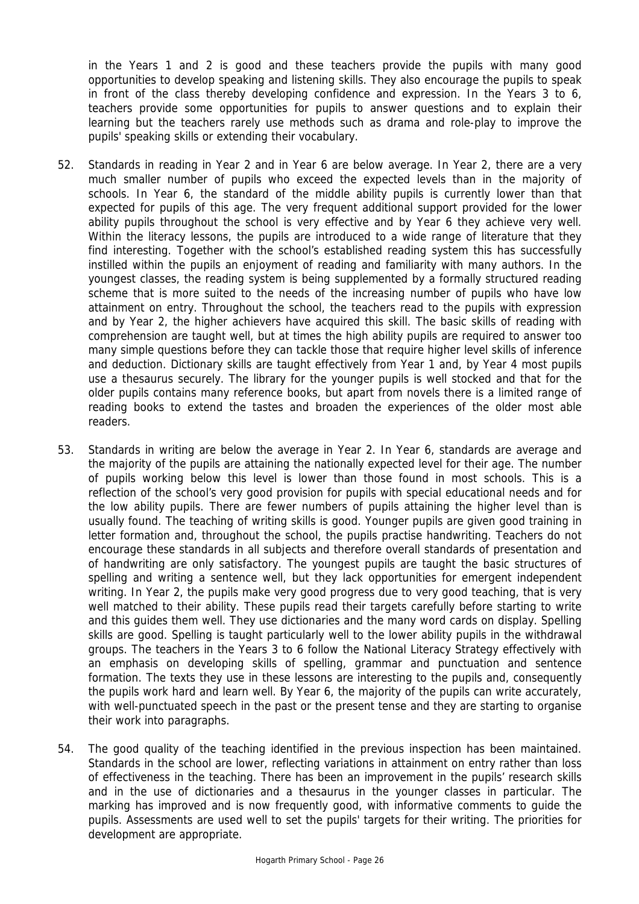in the Years 1 and 2 is good and these teachers provide the pupils with many good opportunities to develop speaking and listening skills. They also encourage the pupils to speak in front of the class thereby developing confidence and expression. In the Years 3 to 6, teachers provide some opportunities for pupils to answer questions and to explain their learning but the teachers rarely use methods such as drama and role-play to improve the pupils' speaking skills or extending their vocabulary.

- 52. Standards in reading in Year 2 and in Year 6 are below average. In Year 2, there are a very much smaller number of pupils who exceed the expected levels than in the majority of schools. In Year 6, the standard of the middle ability pupils is currently lower than that expected for pupils of this age. The very frequent additional support provided for the lower ability pupils throughout the school is very effective and by Year 6 they achieve very well. Within the literacy lessons, the pupils are introduced to a wide range of literature that they find interesting. Together with the school's established reading system this has successfully instilled within the pupils an enjoyment of reading and familiarity with many authors. In the youngest classes, the reading system is being supplemented by a formally structured reading scheme that is more suited to the needs of the increasing number of pupils who have low attainment on entry. Throughout the school, the teachers read to the pupils with expression and by Year 2, the higher achievers have acquired this skill. The basic skills of reading with comprehension are taught well, but at times the high ability pupils are required to answer too many simple questions before they can tackle those that require higher level skills of inference and deduction. Dictionary skills are taught effectively from Year 1 and, by Year 4 most pupils use a thesaurus securely. The library for the younger pupils is well stocked and that for the older pupils contains many reference books, but apart from novels there is a limited range of reading books to extend the tastes and broaden the experiences of the older most able readers.
- 53. Standards in writing are below the average in Year 2. In Year 6, standards are average and the majority of the pupils are attaining the nationally expected level for their age. The number of pupils working below this level is lower than those found in most schools. This is a reflection of the school's very good provision for pupils with special educational needs and for the low ability pupils. There are fewer numbers of pupils attaining the higher level than is usually found. The teaching of writing skills is good. Younger pupils are given good training in letter formation and, throughout the school, the pupils practise handwriting. Teachers do not encourage these standards in all subjects and therefore overall standards of presentation and of handwriting are only satisfactory. The youngest pupils are taught the basic structures of spelling and writing a sentence well, but they lack opportunities for emergent independent writing. In Year 2, the pupils make very good progress due to very good teaching, that is very well matched to their ability. These pupils read their targets carefully before starting to write and this guides them well. They use dictionaries and the many word cards on display. Spelling skills are good. Spelling is taught particularly well to the lower ability pupils in the withdrawal groups. The teachers in the Years 3 to 6 follow the National Literacy Strategy effectively with an emphasis on developing skills of spelling, grammar and punctuation and sentence formation. The texts they use in these lessons are interesting to the pupils and, consequently the pupils work hard and learn well. By Year 6, the majority of the pupils can write accurately, with well-punctuated speech in the past or the present tense and they are starting to organise their work into paragraphs.
- 54. The good quality of the teaching identified in the previous inspection has been maintained. Standards in the school are lower, reflecting variations in attainment on entry rather than loss of effectiveness in the teaching. There has been an improvement in the pupils' research skills and in the use of dictionaries and a thesaurus in the younger classes in particular. The marking has improved and is now frequently good, with informative comments to guide the pupils. Assessments are used well to set the pupils' targets for their writing. The priorities for development are appropriate.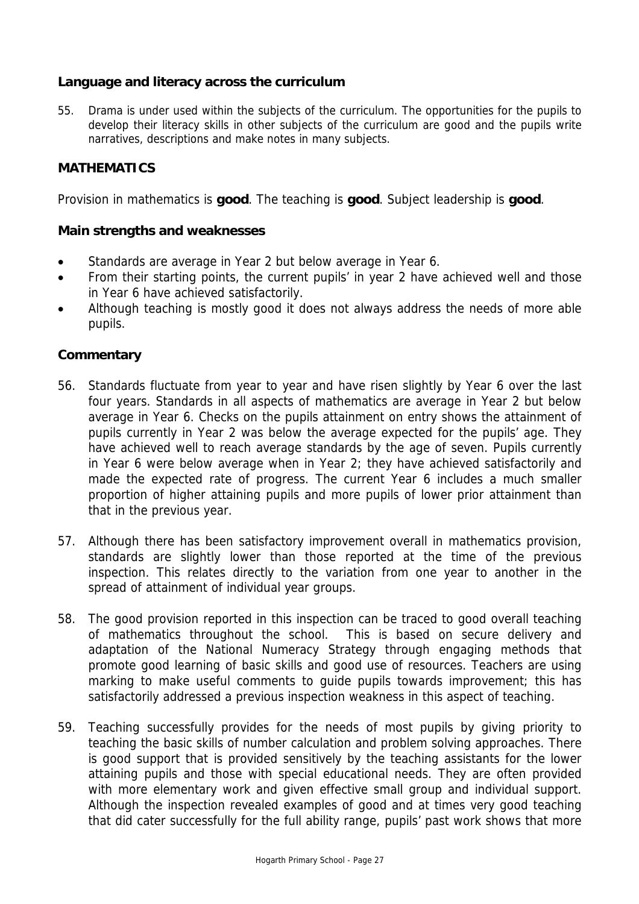# **Language and literacy across the curriculum**

55. Drama is under used within the subjects of the curriculum. The opportunities for the pupils to develop their literacy skills in other subjects of the curriculum are good and the pupils write narratives, descriptions and make notes in many subjects.

# **MATHEMATICS**

Provision in mathematics is **good**. The teaching is **good**. Subject leadership is **good**.

#### **Main strengths and weaknesses**

- Standards are average in Year 2 but below average in Year 6.
- From their starting points, the current pupils' in year 2 have achieved well and those in Year 6 have achieved satisfactorily.
- Although teaching is mostly good it does not always address the needs of more able pupils.

- 56. Standards fluctuate from year to year and have risen slightly by Year 6 over the last four years. Standards in all aspects of mathematics are average in Year 2 but below average in Year 6. Checks on the pupils attainment on entry shows the attainment of pupils currently in Year 2 was below the average expected for the pupils' age. They have achieved well to reach average standards by the age of seven. Pupils currently in Year 6 were below average when in Year 2; they have achieved satisfactorily and made the expected rate of progress. The current Year 6 includes a much smaller proportion of higher attaining pupils and more pupils of lower prior attainment than that in the previous year.
- 57. Although there has been satisfactory improvement overall in mathematics provision, standards are slightly lower than those reported at the time of the previous inspection. This relates directly to the variation from one year to another in the spread of attainment of individual year groups.
- 58. The good provision reported in this inspection can be traced to good overall teaching of mathematics throughout the school. This is based on secure delivery and adaptation of the National Numeracy Strategy through engaging methods that promote good learning of basic skills and good use of resources. Teachers are using marking to make useful comments to guide pupils towards improvement; this has satisfactorily addressed a previous inspection weakness in this aspect of teaching.
- 59. Teaching successfully provides for the needs of most pupils by giving priority to teaching the basic skills of number calculation and problem solving approaches. There is good support that is provided sensitively by the teaching assistants for the lower attaining pupils and those with special educational needs. They are often provided with more elementary work and given effective small group and individual support. Although the inspection revealed examples of good and at times very good teaching that did cater successfully for the full ability range, pupils' past work shows that more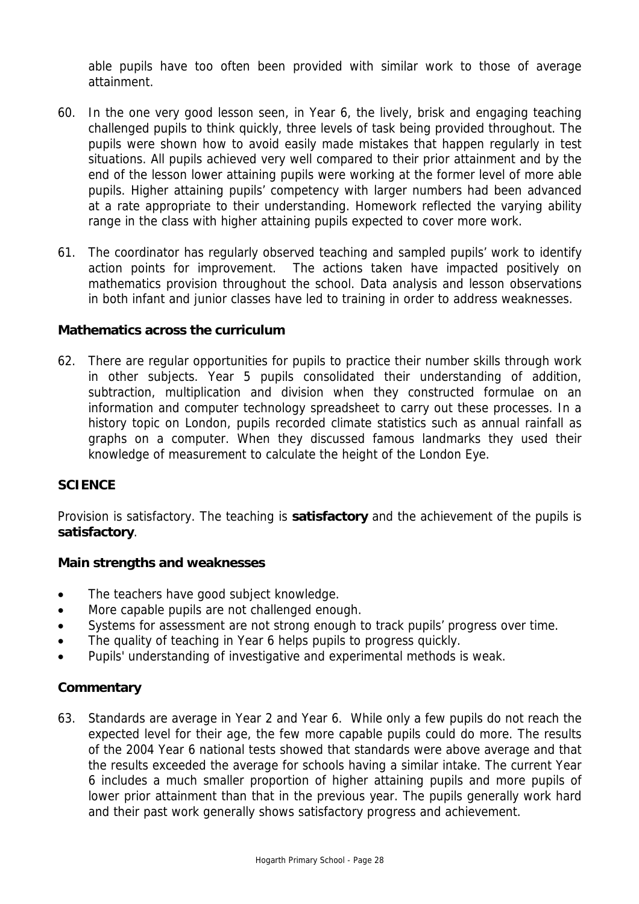able pupils have too often been provided with similar work to those of average attainment.

- 60. In the one very good lesson seen, in Year 6, the lively, brisk and engaging teaching challenged pupils to think quickly, three levels of task being provided throughout. The pupils were shown how to avoid easily made mistakes that happen regularly in test situations. All pupils achieved very well compared to their prior attainment and by the end of the lesson lower attaining pupils were working at the former level of more able pupils. Higher attaining pupils' competency with larger numbers had been advanced at a rate appropriate to their understanding. Homework reflected the varying ability range in the class with higher attaining pupils expected to cover more work.
- 61. The coordinator has regularly observed teaching and sampled pupils' work to identify action points for improvement. The actions taken have impacted positively on mathematics provision throughout the school. Data analysis and lesson observations in both infant and junior classes have led to training in order to address weaknesses.

## **Mathematics across the curriculum**

62. There are regular opportunities for pupils to practice their number skills through work in other subjects. Year 5 pupils consolidated their understanding of addition, subtraction, multiplication and division when they constructed formulae on an information and computer technology spreadsheet to carry out these processes. In a history topic on London, pupils recorded climate statistics such as annual rainfall as graphs on a computer. When they discussed famous landmarks they used their knowledge of measurement to calculate the height of the London Eye.

## **SCIENCE**

Provision is satisfactory. The teaching is **satisfactory** and the achievement of the pupils is **satisfactory**.

#### **Main strengths and weaknesses**

- The teachers have good subject knowledge.
- More capable pupils are not challenged enough.
- Systems for assessment are not strong enough to track pupils' progress over time.
- The quality of teaching in Year 6 helps pupils to progress quickly.
- Pupils' understanding of investigative and experimental methods is weak.

#### **Commentary**

63. Standards are average in Year 2 and Year 6. While only a few pupils do not reach the expected level for their age, the few more capable pupils could do more. The results of the 2004 Year 6 national tests showed that standards were above average and that the results exceeded the average for schools having a similar intake. The current Year 6 includes a much smaller proportion of higher attaining pupils and more pupils of lower prior attainment than that in the previous year. The pupils generally work hard and their past work generally shows satisfactory progress and achievement.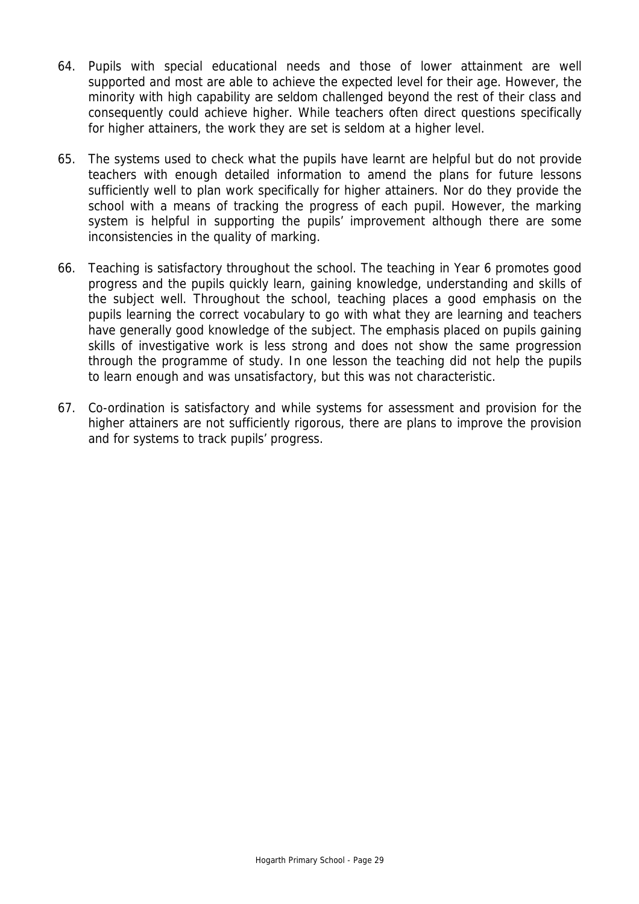- 64. Pupils with special educational needs and those of lower attainment are well supported and most are able to achieve the expected level for their age. However, the minority with high capability are seldom challenged beyond the rest of their class and consequently could achieve higher. While teachers often direct questions specifically for higher attainers, the work they are set is seldom at a higher level.
- 65. The systems used to check what the pupils have learnt are helpful but do not provide teachers with enough detailed information to amend the plans for future lessons sufficiently well to plan work specifically for higher attainers. Nor do they provide the school with a means of tracking the progress of each pupil. However, the marking system is helpful in supporting the pupils' improvement although there are some inconsistencies in the quality of marking.
- 66. Teaching is satisfactory throughout the school. The teaching in Year 6 promotes good progress and the pupils quickly learn, gaining knowledge, understanding and skills of the subject well. Throughout the school, teaching places a good emphasis on the pupils learning the correct vocabulary to go with what they are learning and teachers have generally good knowledge of the subject. The emphasis placed on pupils gaining skills of investigative work is less strong and does not show the same progression through the programme of study. In one lesson the teaching did not help the pupils to learn enough and was unsatisfactory, but this was not characteristic.
- 67. Co-ordination is satisfactory and while systems for assessment and provision for the higher attainers are not sufficiently rigorous, there are plans to improve the provision and for systems to track pupils' progress.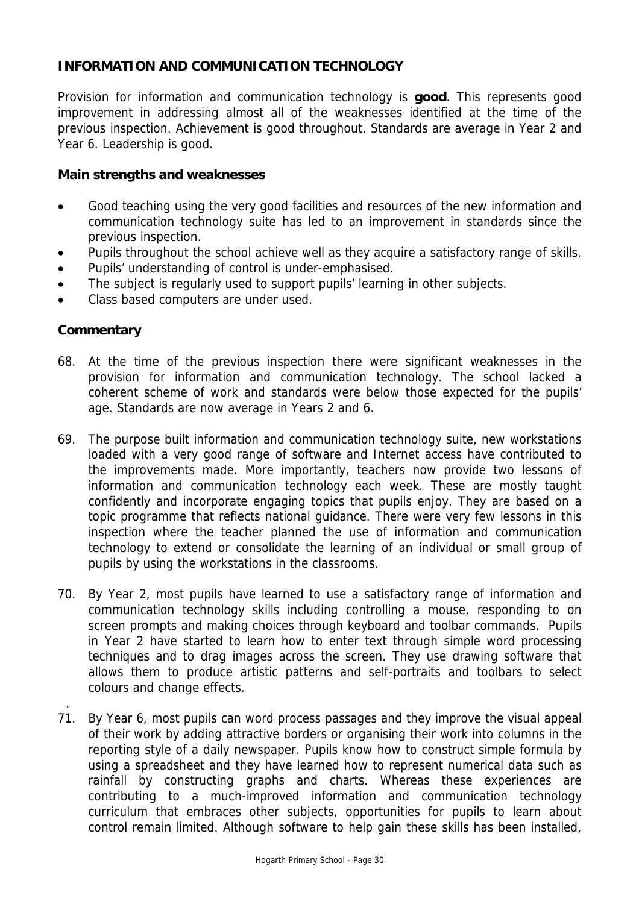# **INFORMATION AND COMMUNICATION TECHNOLOGY**

Provision for information and communication technology is **good**. This represents good improvement in addressing almost all of the weaknesses identified at the time of the previous inspection. Achievement is good throughout. Standards are average in Year 2 and Year 6. Leadership is good.

#### **Main strengths and weaknesses**

- Good teaching using the very good facilities and resources of the new information and communication technology suite has led to an improvement in standards since the previous inspection.
- Pupils throughout the school achieve well as they acquire a satisfactory range of skills.
- Pupils' understanding of control is under-emphasised.
- The subject is regularly used to support pupils' learning in other subjects.
- Class based computers are under used.

# **Commentary**

.

- 68. At the time of the previous inspection there were significant weaknesses in the provision for information and communication technology. The school lacked a coherent scheme of work and standards were below those expected for the pupils' age. Standards are now average in Years 2 and 6.
- 69. The purpose built information and communication technology suite, new workstations loaded with a very good range of software and Internet access have contributed to the improvements made. More importantly, teachers now provide two lessons of information and communication technology each week. These are mostly taught confidently and incorporate engaging topics that pupils enjoy. They are based on a topic programme that reflects national guidance. There were very few lessons in this inspection where the teacher planned the use of information and communication technology to extend or consolidate the learning of an individual or small group of pupils by using the workstations in the classrooms.
- 70. By Year 2, most pupils have learned to use a satisfactory range of information and communication technology skills including controlling a mouse, responding to on screen prompts and making choices through keyboard and toolbar commands. Pupils in Year 2 have started to learn how to enter text through simple word processing techniques and to drag images across the screen. They use drawing software that allows them to produce artistic patterns and self-portraits and toolbars to select colours and change effects.
- 71. By Year 6, most pupils can word process passages and they improve the visual appeal of their work by adding attractive borders or organising their work into columns in the reporting style of a daily newspaper. Pupils know how to construct simple formula by using a spreadsheet and they have learned how to represent numerical data such as rainfall by constructing graphs and charts. Whereas these experiences are contributing to a much-improved information and communication technology curriculum that embraces other subjects, opportunities for pupils to learn about control remain limited. Although software to help gain these skills has been installed,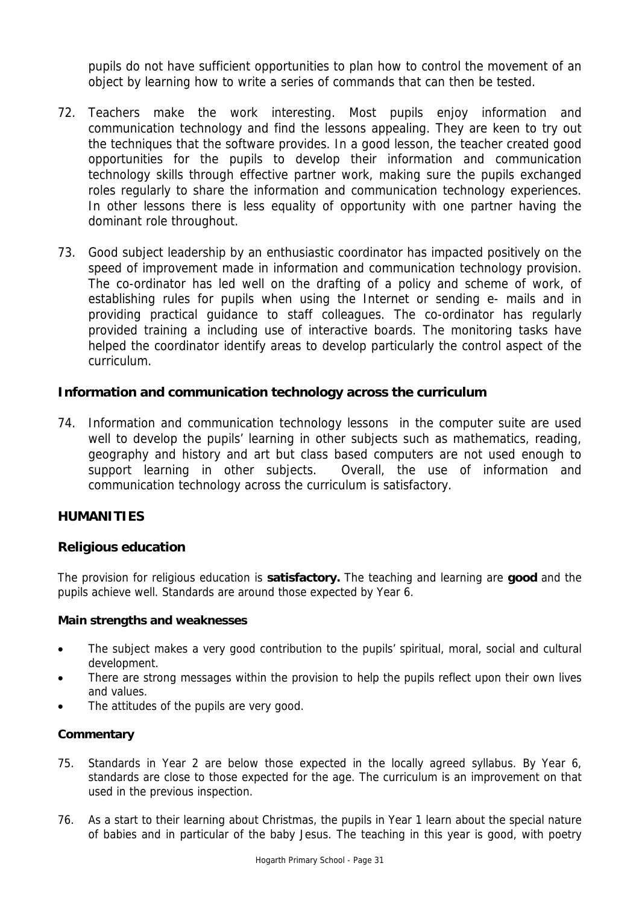pupils do not have sufficient opportunities to plan how to control the movement of an object by learning how to write a series of commands that can then be tested.

- 72. Teachers make the work interesting. Most pupils enjoy information and communication technology and find the lessons appealing. They are keen to try out the techniques that the software provides. In a good lesson, the teacher created good opportunities for the pupils to develop their information and communication technology skills through effective partner work, making sure the pupils exchanged roles regularly to share the information and communication technology experiences. In other lessons there is less equality of opportunity with one partner having the dominant role throughout.
- 73. Good subject leadership by an enthusiastic coordinator has impacted positively on the speed of improvement made in information and communication technology provision. The co-ordinator has led well on the drafting of a policy and scheme of work, of establishing rules for pupils when using the Internet or sending e- mails and in providing practical guidance to staff colleagues. The co-ordinator has regularly provided training a including use of interactive boards. The monitoring tasks have helped the coordinator identify areas to develop particularly the control aspect of the curriculum.

## **Information and communication technology across the curriculum**

74. Information and communication technology lessons in the computer suite are used well to develop the pupils' learning in other subjects such as mathematics, reading, geography and history and art but class based computers are not used enough to support learning in other subjects. Overall, the use of information and communication technology across the curriculum is satisfactory.

## **HUMANITIES**

#### **Religious education**

The provision for religious education is **satisfactory.** The teaching and learning are **good** and the pupils achieve well. Standards are around those expected by Year 6.

#### **Main strengths and weaknesses**

- The subject makes a very good contribution to the pupils' spiritual, moral, social and cultural development.
- There are strong messages within the provision to help the pupils reflect upon their own lives and values.
- The attitudes of the pupils are very good.

- 75. Standards in Year 2 are below those expected in the locally agreed syllabus. By Year 6, standards are close to those expected for the age. The curriculum is an improvement on that used in the previous inspection.
- 76. As a start to their learning about Christmas, the pupils in Year 1 learn about the special nature of babies and in particular of the baby Jesus. The teaching in this year is good, with poetry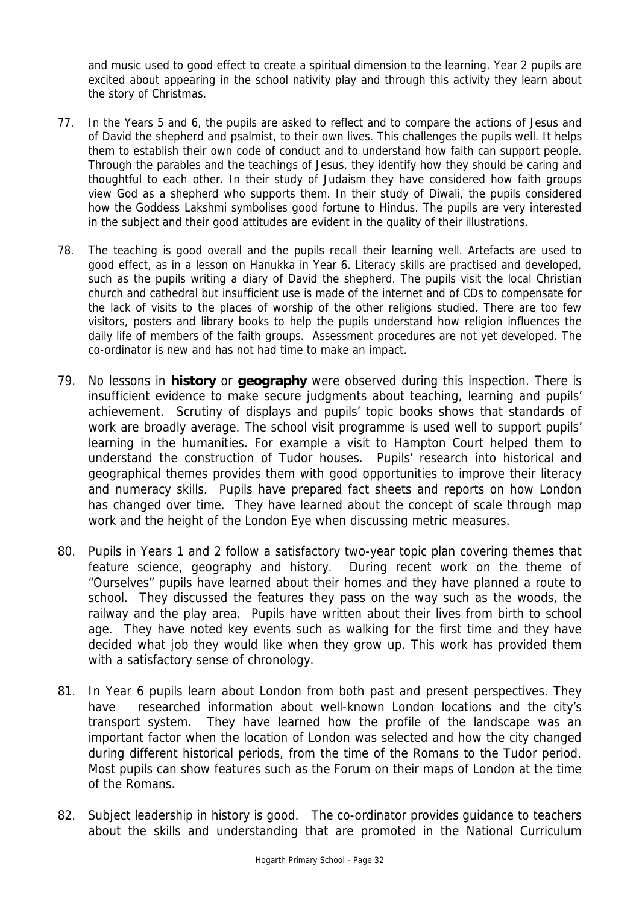and music used to good effect to create a spiritual dimension to the learning. Year 2 pupils are excited about appearing in the school nativity play and through this activity they learn about the story of Christmas.

- 77. In the Years 5 and 6, the pupils are asked to reflect and to compare the actions of Jesus and of David the shepherd and psalmist, to their own lives. This challenges the pupils well. It helps them to establish their own code of conduct and to understand how faith can support people. Through the parables and the teachings of Jesus, they identify how they should be caring and thoughtful to each other. In their study of Judaism they have considered how faith groups view God as a shepherd who supports them. In their study of Diwali, the pupils considered how the Goddess Lakshmi symbolises good fortune to Hindus. The pupils are very interested in the subject and their good attitudes are evident in the quality of their illustrations.
- 78. The teaching is good overall and the pupils recall their learning well. Artefacts are used to good effect, as in a lesson on Hanukka in Year 6. Literacy skills are practised and developed, such as the pupils writing a diary of David the shepherd. The pupils visit the local Christian church and cathedral but insufficient use is made of the internet and of CDs to compensate for the lack of visits to the places of worship of the other religions studied. There are too few visitors, posters and library books to help the pupils understand how religion influences the daily life of members of the faith groups. Assessment procedures are not yet developed. The co-ordinator is new and has not had time to make an impact.
- 79. No lessons in **history** or **geography** were observed during this inspection. There is insufficient evidence to make secure judgments about teaching, learning and pupils' achievement. Scrutiny of displays and pupils' topic books shows that standards of work are broadly average. The school visit programme is used well to support pupils' learning in the humanities. For example a visit to Hampton Court helped them to understand the construction of Tudor houses. Pupils' research into historical and geographical themes provides them with good opportunities to improve their literacy and numeracy skills. Pupils have prepared fact sheets and reports on how London has changed over time. They have learned about the concept of scale through map work and the height of the London Eye when discussing metric measures.
- 80. Pupils in Years 1 and 2 follow a satisfactory two-year topic plan covering themes that feature science, geography and history. During recent work on the theme of "Ourselves" pupils have learned about their homes and they have planned a route to school. They discussed the features they pass on the way such as the woods, the railway and the play area. Pupils have written about their lives from birth to school age. They have noted key events such as walking for the first time and they have decided what job they would like when they grow up. This work has provided them with a satisfactory sense of chronology.
- 81. In Year 6 pupils learn about London from both past and present perspectives. They have researched information about well-known London locations and the city's transport system. They have learned how the profile of the landscape was an important factor when the location of London was selected and how the city changed during different historical periods, from the time of the Romans to the Tudor period. Most pupils can show features such as the Forum on their maps of London at the time of the Romans.
- 82. Subject leadership in history is good. The co-ordinator provides guidance to teachers about the skills and understanding that are promoted in the National Curriculum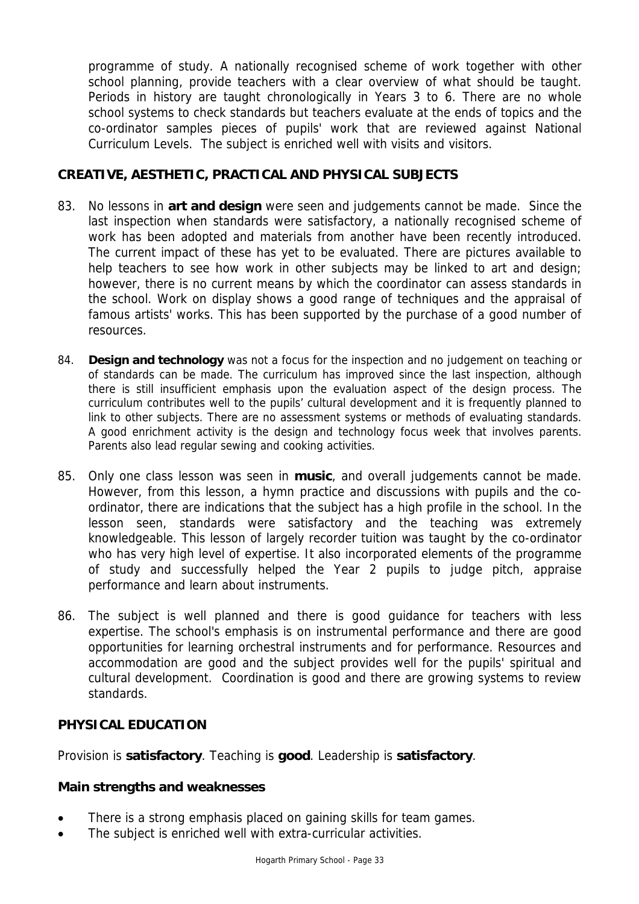programme of study. A nationally recognised scheme of work together with other school planning, provide teachers with a clear overview of what should be taught. Periods in history are taught chronologically in Years 3 to 6. There are no whole school systems to check standards but teachers evaluate at the ends of topics and the co-ordinator samples pieces of pupils' work that are reviewed against National Curriculum Levels. The subject is enriched well with visits and visitors.

# **CREATIVE, AESTHETIC, PRACTICAL AND PHYSICAL SUBJECTS**

- 83. No lessons in **art and design** were seen and judgements cannot be made. Since the last inspection when standards were satisfactory, a nationally recognised scheme of work has been adopted and materials from another have been recently introduced. The current impact of these has yet to be evaluated. There are pictures available to help teachers to see how work in other subjects may be linked to art and design; however, there is no current means by which the coordinator can assess standards in the school. Work on display shows a good range of techniques and the appraisal of famous artists' works. This has been supported by the purchase of a good number of resources.
- 84. **Design and technology** was not a focus for the inspection and no judgement on teaching or of standards can be made. The curriculum has improved since the last inspection, although there is still insufficient emphasis upon the evaluation aspect of the design process. The curriculum contributes well to the pupils' cultural development and it is frequently planned to link to other subjects. There are no assessment systems or methods of evaluating standards. A good enrichment activity is the design and technology focus week that involves parents. Parents also lead regular sewing and cooking activities.
- 85. Only one class lesson was seen in **music**, and overall judgements cannot be made. However, from this lesson, a hymn practice and discussions with pupils and the coordinator, there are indications that the subject has a high profile in the school. In the lesson seen, standards were satisfactory and the teaching was extremely knowledgeable. This lesson of largely recorder tuition was taught by the co-ordinator who has very high level of expertise. It also incorporated elements of the programme of study and successfully helped the Year 2 pupils to judge pitch, appraise performance and learn about instruments.
- 86. The subject is well planned and there is good guidance for teachers with less expertise. The school's emphasis is on instrumental performance and there are good opportunities for learning orchestral instruments and for performance. Resources and accommodation are good and the subject provides well for the pupils' spiritual and cultural development. Coordination is good and there are growing systems to review standards.

# **PHYSICAL EDUCATION**

Provision is **satisfactory**. Teaching is **good**. Leadership is **satisfactory**.

## **Main strengths and weaknesses**

- There is a strong emphasis placed on gaining skills for team games.
- The subject is enriched well with extra-curricular activities.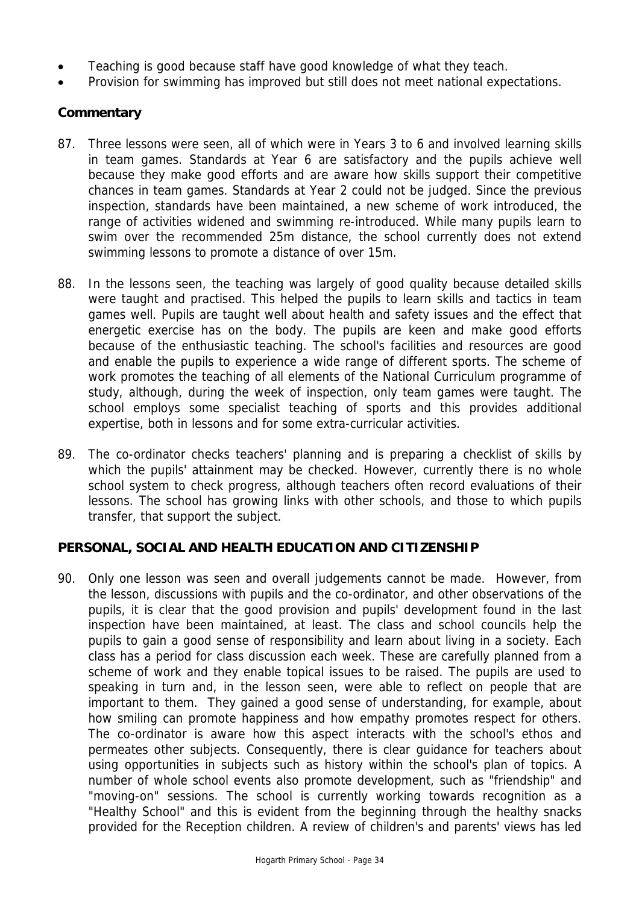- Teaching is good because staff have good knowledge of what they teach.
- Provision for swimming has improved but still does not meet national expectations.

# **Commentary**

- 87. Three lessons were seen, all of which were in Years 3 to 6 and involved learning skills in team games. Standards at Year 6 are satisfactory and the pupils achieve well because they make good efforts and are aware how skills support their competitive chances in team games. Standards at Year 2 could not be judged. Since the previous inspection, standards have been maintained, a new scheme of work introduced, the range of activities widened and swimming re-introduced. While many pupils learn to swim over the recommended 25m distance, the school currently does not extend swimming lessons to promote a distance of over 15m.
- 88. In the lessons seen, the teaching was largely of good quality because detailed skills were taught and practised. This helped the pupils to learn skills and tactics in team games well. Pupils are taught well about health and safety issues and the effect that energetic exercise has on the body. The pupils are keen and make good efforts because of the enthusiastic teaching. The school's facilities and resources are good and enable the pupils to experience a wide range of different sports. The scheme of work promotes the teaching of all elements of the National Curriculum programme of study, although, during the week of inspection, only team games were taught. The school employs some specialist teaching of sports and this provides additional expertise, both in lessons and for some extra-curricular activities.
- 89. The co-ordinator checks teachers' planning and is preparing a checklist of skills by which the pupils' attainment may be checked. However, currently there is no whole school system to check progress, although teachers often record evaluations of their lessons. The school has growing links with other schools, and those to which pupils transfer, that support the subject.

## **PERSONAL, SOCIAL AND HEALTH EDUCATION AND CITIZENSHIP**

90. Only one lesson was seen and overall judgements cannot be made. However, from the lesson, discussions with pupils and the co-ordinator, and other observations of the pupils, it is clear that the good provision and pupils' development found in the last inspection have been maintained, at least. The class and school councils help the pupils to gain a good sense of responsibility and learn about living in a society. Each class has a period for class discussion each week. These are carefully planned from a scheme of work and they enable topical issues to be raised. The pupils are used to speaking in turn and, in the lesson seen, were able to reflect on people that are important to them. They gained a good sense of understanding, for example, about how smiling can promote happiness and how empathy promotes respect for others. The co-ordinator is aware how this aspect interacts with the school's ethos and permeates other subjects. Consequently, there is clear guidance for teachers about using opportunities in subjects such as history within the school's plan of topics. A number of whole school events also promote development, such as "friendship" and "moving-on" sessions. The school is currently working towards recognition as a "Healthy School" and this is evident from the beginning through the healthy snacks provided for the Reception children. A review of children's and parents' views has led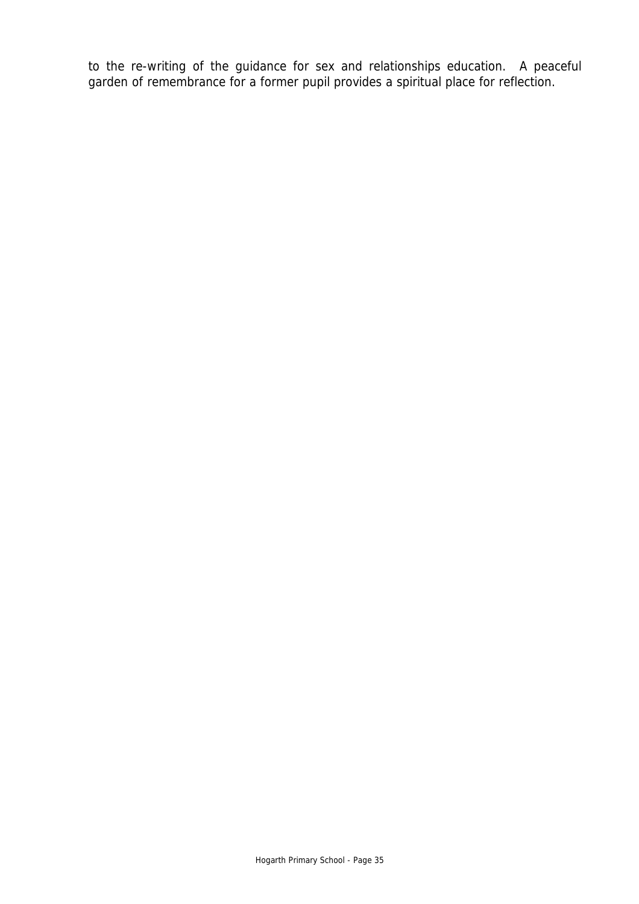to the re-writing of the guidance for sex and relationships education. A peaceful garden of remembrance for a former pupil provides a spiritual place for reflection.